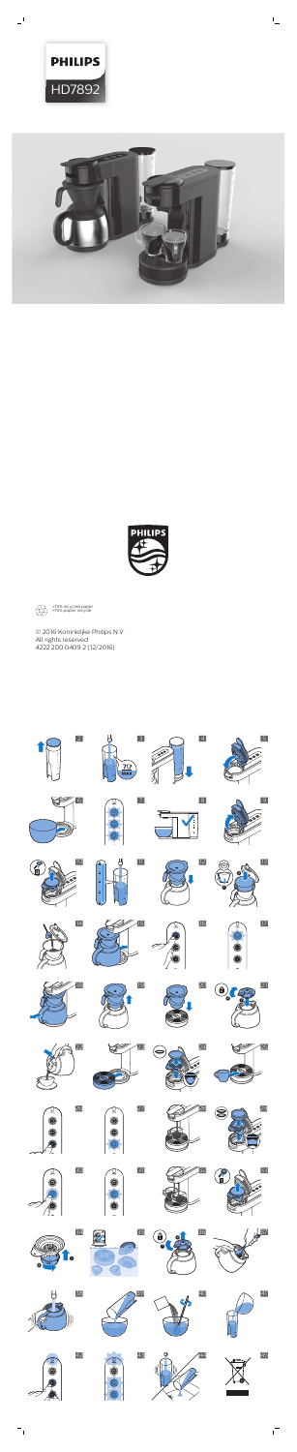© 2016 Koninklijke Philips N.V. All rights reserved 4222.200.0409.2 (12/2016)













 $\overline{\phantom{0}}$ 



 $\mathbb{L}$ 

































**91 8.** 































ıТ

>75% recycled paper >75% papier recyclé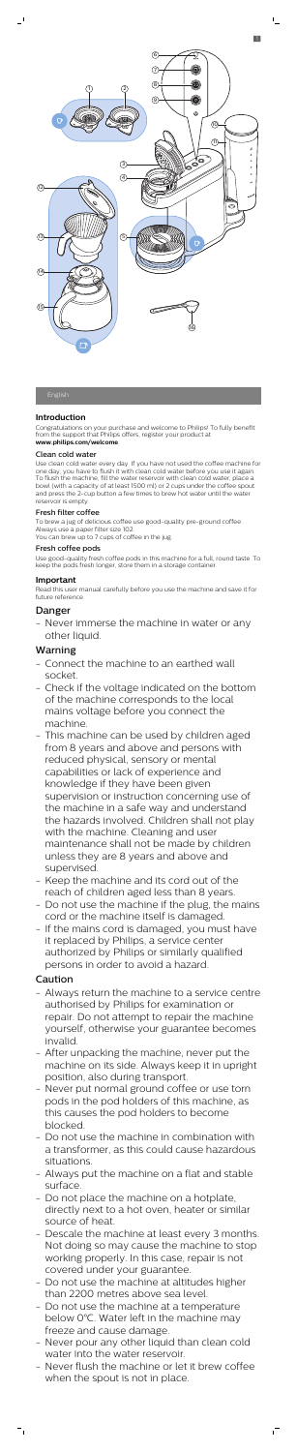## **Introduction**

Congratulations on your purchase and welcome to Philips! To fully benefit from the support that Philips offers, register your product at **www.philips.com/welcome**.

## Clean cold water

Use clean cold water every day. If you have not used the coffee machine for one day, you have to flush it with clean cold water before you use it again. To flush the machine, fill the water reservoir with clean cold water, place a bowl (with a capacity of at least 1500 ml) or 2 cups under the coffee spout and press the 2-cup button a few times to brew hot water until the water reservoir is empty.

#### Fresh filter coffee

To brew a jug of delicious coffee use good-quality pre-ground coffee . Always use a paper filter size 102. You can brew up to 7 cups of coffee in the jug.

#### Fresh coffee pods

Use good-quality fresh coffee pods in this machine for a full, round taste. To keep the pods fresh longer, store them in a storage container.

### **Important**

Read this user manual carefully before you use the machine and save it for future reference.

## Danger

- Never immerse the machine in water or any other liquid.

## Warning

- Connect the machine to an earthed wall socket.
- Check if the voltage indicated on the bottom of the machine corresponds to the local mains voltage before you connect the machine.
- This machine can be used by children aged from 8 years and above and persons with

reduced physical, sensory or mental capabilities or lack of experience and knowledge if they have been given supervision or instruction concerning use of the machine in a safe way and understand the hazards involved. Children shall not play with the machine. Cleaning and user maintenance shall not be made by children unless they are 8 years and above and supervised.

- Keep the machine and its cord out of the reach of children aged less than 8 years.
- Do not use the machine if the plug, the mains cord or the machine itself is damaged.
- If the mains cord is damaged, you must have it replaced by Philips, a service center authorized by Philips or similarly qualified persons in order to avoid a hazard.

# Caution

 $=$ <sub>1</sub>

- Always return the machine to a service centre authorised by Philips for examination or repair. Do not attempt to repair the machine yourself, otherwise your guarantee becomes invalid.
- After unpacking the machine, never put the machine on its side. Always keep it in upright position, also during transport.
- Never put normal ground coffee or use torn pods in the pod holders of this machine, as this causes the pod holders to become blocked.
- Do not use the machine in combination with a transformer, as this could cause hazardous situations.
- Always put the machine on a flat and stable surface.
- Do not place the machine on a hotplate, directly next to a hot oven, heater or similar source of heat.
- Descale the machine at least every 3 months. Not doing so may cause the machine to stop working properly. In this case, repair is not covered under your guarantee.
- Do not use the machine at altitudes higher than 2200 metres above sea level.
- Do not use the machine at a temperature below 0°C. Water left in the machine may freeze and cause damage.
- Never pour any other liquid than clean cold water into the water reservoir.
- Never flush the machine or let it brew coffee when the spout is not in place.



 $\mathsf{L}$ 

 $\overline{\phantom{a}}$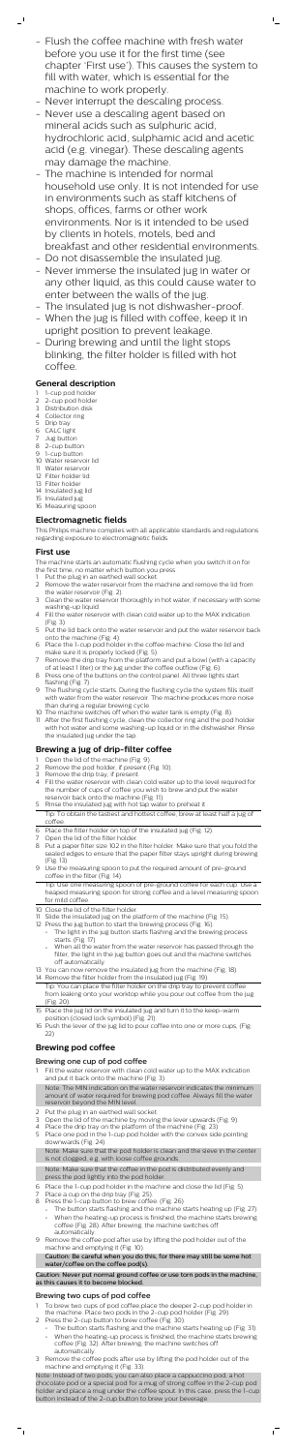- Flush the coffee machine with fresh water before you use it for the first time (see chapter 'First use'). This causes the system to fill with water, which is essential for the machine to work properly.

 $\Gamma_{\rm c}$ 

- 1-cup pod holder
- 2-cup pod holder
- 3 Distribution disk 4 Collector ring
- 5 Drip tray

 $\mathbf{I}$ 

- Never interrupt the descaling process.
- Never use a descaling agent based on mineral acids such as sulphuric acid, hydrochloric acid, sulphamic acid and acetic acid (e.g. vinegar). These descaling agents may damage the machine.
- The machine is intended for normal household use only. It is not intended for use in environments such as staff kitchens of shops, offices, farms or other work environments. Nor is it intended to be used by clients in hotels, motels, bed and breakfast and other residential environments.
- Do not disassemble the insulated jug.
- Never immerse the insulated jug in water or any other liquid, as this could cause water to enter between the walls of the jug.
- The insulated jug is not dishwasher-proof.
- When the jug is filled with coffee, keep it in upright position to prevent leakage.
- During brewing and until the light stops blinking, the filter holder is filled with hot coffee.

## **General description**

- 6 CALC light
- 7 Jug button
- 8 2-cup button
- 9 1-cup button
- 10 Water reservoir lid
- 11 Water reservoir
- 12 Filter holder lid
- 13 Filter holder
- 14 Insulated jug lid 15 Insulated jug
- 16 Measuring spoon

## **Electromagnetic fields**

- Put the plug in an earthed wall socket.
- 2 Remove the water reservoir from the machine and remove the lid from the water reservoir (Fig. 2).
- 3 Clean the water reservoir thoroughly in hot water, if necessary with some washing-up liquid.
- 4 Fill the water reservoir with clean cold water up to the MAX indication (Fig. 3).
- 5 Put the lid back onto the water reservoir and put the water reservoir back onto the machine (Fig. 4).
- 6 Place the 1-cup pod holder in the coffee machine. Close the lid and make sure it is properly locked (Fig. 5).
- 7 Remove the drip tray from the platform and put a bowl (with a capacity of at least 1 liter) or the jug under the coffee outflow (Fig. 6).
- 8 Press one of the buttons on the control panel. All three lights start flashing (Fig. 7).
- 9 The flushing cycle starts. During the flushing cycle the system fills itself with water from the water reservoir. The machine produces more noise than during a regular brewing cycle.
- 10 The machine switches off when the water tank is empty (Fig. 8).
- 11 After the first flushing cycle, clean the collector ring and the pod holder with hot water and some washing-up liquid or in the dishwasher. Rinse the insulated jug under the tap.

This Philips machine complies with all applicable standards and regulations regarding exposure to electromagnetic fields.

## **First use**

The machine starts an automatic flushing cycle when you switch it on for the first time, no matter which button you press.

- Fill the water reservoir with clean cold water up to the MAX indication and put it back onto the machine (Fig. 3). Note: The MIN indication on the water reservoir indicates the minimum amount of water required for brewing pod coffee. Always fill the water reservoir beyond the MIN level.
- 2 Put the plug in an earthed wall socket.
- Open the lid of the machine by moving the lever upwards (Fig. 9).
- 4 Place the drip tray on the platform of the machine (Fig. 23).
- 5 Place one pod in the 1-cup pod holder with the convex side pointing downwards (Fig. 24).

#### **Brewing a jug of drip-filter coffee**

- 1 Open the lid of the machine (Fig. 9). 2 Remove the pod holder, if present (Fig. 10).
- 3 Remove the drip tray, if present.
- 4 Fill the water reservoir with clean cold water up to the level required for the number of cups of coffee you wish to brew and put the water reservoir back onto the machine (Fig. 11).
- 5 Rinse the insulated jug with hot tap water to preheat it
- Tip: To obtain the tastiest and hottest coffee, brew at least half a jug of coffee.
- 6 Place the filter holder on top of the insulated jug (Fig. 12).
- Open the lid of the filter holder.
- 8 Put a paper filter size 102 in the filter holder. Make sure that you fold the sealed edges to ensure that the paper filter stays upright during brewing (Fig. 13).
- 9 Use the measuring spoon to put the required amount of pre-ground coffee in the filter (Fig. 14).

- To brew two cups of pod coffee,place the deeper 2-cup pod holder in the machine. Place two pods in the 2-cup pod holder (Fig. 29).
- 2 Press the 2-cup button to brew coffee (Fig. 30).
	- The button starts flashing and the machine starts heating up (Fig. 31).
		- When the heating-up process is finished, the machine starts brewing coffee (Fig. 32). After brewing, the machine switches off automatically.
- 3 Remove the coffee pods after use by lifting the pod holder out of the machine and emptying it (Fig. 33).

Tip: Use one measuring spoon of pre-ground coffee for each cup. Use a heaped measuring spoon for strong coffee and a level measuring spoon for mild coffee.

- 10 Close the lid of the filter holder.
- 11 Slide the insulated jug on the platform of the machine (Fig. 15).
- 12 Press the jug button to start the brewing process (Fig. 16).
	- The light in the jug button starts flashing and the brewing process starts. (Fig. 17)
	- When all the water from the water reservoir has passed through the filter, the light in the jug button goes out and the machine switches off automatically.
- 13 You can now remove the insulated jug from the machine (Fig. 18).
- 14 Remove the filter holder from the insulated jug (Fig. 19). Tip: You can place the filter holder on the drip tray to prevent coffee from leaking onto your worktop while you pour out coffee from the jug (Fig. 20).
- 15 Place the jug lid on the insulated jug and turn it to the keep-warm position (closed lock symbol) (Fig. 21).
- 16 Push the lever of the jug lid to pour coffee into one or more cups, (Fig. 22)

# **Brewing pod coffee**

## Brewing one cup of pod coffee

Note: Make sure that the pod holder is clean and the sieve in the center is not clogged, e.g. with loose coffee grounds.

Note: Make sure that the coffee in the pod is distributed evenly and press the pod lightly into the pod holder.

- 6 Place the 1-cup pod holder in the machine and close the lid (Fig. 5).
- Place a cup on the drip tray (Fig. 25).
- 8 Press the 1-cup button to brew coffee. (Fig. 26)
	- The button starts flashing and the machine starts heating up (Fig. 27).
		- When the heating-up process is finished, the machine starts brewing coffee (Fig. 28). After brewing, the machine switches off automatically.
- 9 Remove the coffee pod after use by lifting the pod holder out of the machine and emptying it (Fig. 10).

Caution: Be careful when you do this, for there may still be some hot water/coffee on the coffee pod(s).

Caution: Never put normal ground coffee or use torn pods in the machine, as this causes it to become blocked.

## Brewing two cups of pod coffee

Note: Instead of two pods, you can also place a cappuccino pod, a hot chocolate pod or a special pod for a mug of strong coffee in the 2-cup pod holder and place a mug under the coffee spout. In this case, press the 1-cup button instead of the 2-cup button to brew your beverage.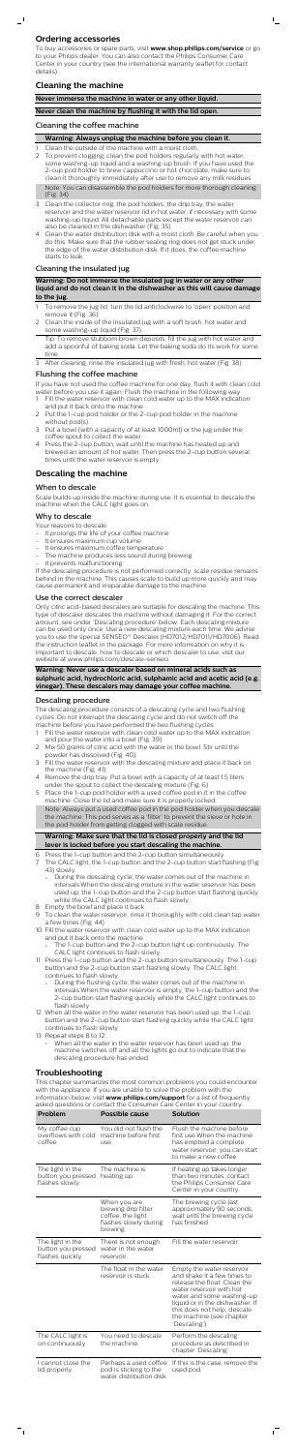## **Ordering accessories**

 $\overline{\phantom{0}}$ 

To buy accessories or spare parts, visit **www.shop.philips.com/service** or go to your Philips dealer. You can also contact the Philips Consumer Care Center in your country (see the international warranty leaflet for contact details).

## **Cleaning the machine**

## **Never immerse the machine in water or any other liquid.**

**Never clean the machine by flushing it with the lid open.**

## Cleaning the coffee machine

#### **Warning: Always unplug the machine before you clean it.**

- Clean the outside of the machine with a moist cloth.
- 2 To prevent clogging, clean the pod holders regularly with hot water, some washing-up liquid and a washing-up brush. If you have used the 2-cup pod holder to brew cappuccino or hot chocolate, make sure to clean it thoroughly immediately after use to remove any milk residues. Note: You can disassemble the pod holders for more thorough cleaning (Fig. 34).
- 3 Clean the collector ring, the pod holders, the drip tray, the water reservoir and the water reservoir lid in hot water, if necessary with some washing-up liquid. All detachable parts except the water reservoir can also be cleaned in the dishwasher (Fig. 35).
- 4 Clean the water distribution disk with a moist cloth. Be careful when you do this. Make sure that the rubber sealing ring does not get stuck under the edge of the water distribution disk. If it does, the coffee machine starts to leak.

- To remove the jug lid, turn the lid anticlockwise to 'open' position and remove it (Fig. 36).
- 2 Clean the inside of the insulated jug with a soft brush, hot water and some washing-up liquid (Fig. 37).
- Tip: To remove stubborn brown deposits, fill the jug with hot water and add a spoonful of baking soda. Let the baking soda do its work for some time.
- 3 After cleaning, rinse the insulated jug with fresh, hot water (Fig. 38).

- Fill the water reservoir with clean cold water up to the MAX indication and put it back onto the machine.
- 2 Put the 1-cup pod holder or the 2-cup pod holder in the machine without pod(s).
- 3 Put a bowl (with a capacity of at least 1000ml) or the jug under the coffee spout to collect the water.
- Press the 2-cup button, wait until the machine has heated up and brewed an amount of hot water. Then press the 2-cup button several times until the water reservoir is empty.

#### Cleaning the insulated jug

**Warning: Do not immerse the insulated jug in water or any other liquid and do not clean it in the dishwasher as this will cause damage to the jug.**

#### Flushing the coffee machine

If you have not used the coffee machine for one day, flush it with clean cold water before you use it again. Flush the machine in the following way:

- 1 Fill the water reservoir with clean cold water up to the MAX indication and pour the water into a bowl (Fig. 39).
- 2 Mix 50 grams of citric acid with the water in the bowl. Stir until the
- owder has dissolved (Fig. 40).
- 3 Fill the water reservoir with the descaling mixture and place it back on the machine (Fig. 41).
- 4 Remove the drip tray. Put a bowl with a capacity of at least 1.5 liters under the spout to collect the descaling mixture (Fig. 6).
- 5 Place the 1-cup pod holder with a used coffee pod in it in the coffee machine. Close the lid and make sure it is properly locked.

## **Descaling the machine**

#### When to descale

Scale builds up inside the machine during use. It is essential to descale the machine when the CALC light goes on.

#### Why to descale

Your reasons to descale:

- It prolongs the life of your coffee machine
- It ensures maximum cup volume
- It ensures maximum coffee temperature
- The machine produces less sound during brewing
- It prevents malfunctioning

If the descaling procedure is not performed correctly, scale residue remains behind in the machine. This causes scale to build up more quickly and may cause permanent and irreparable damage to the machine.

#### Use the correct descaler

Only citric acid-based descalers are suitable for descaling the machine. This type of descaler descales the machine without damaging it. For the correct amount, see under 'Descaling procedure' below. Each descaling mixture can be used only once. Use a new descaling mixture each time. We advise you to use the special SENSEO® Descaler (HD7012/HD7011/HD7006). Read the instruction leaflet in the package. For more information on why it is important to descale, how to descale or which descaler to use, visit our website at www.philips.com/descale-senseo.

#### **Warning: Never use a descaler based on mineral acids such as sulphuric acid, hydrochloric acid, sulphamic acid and acetic acid (e.g. vinegar). These descalers may damage your coffee machine.**

#### Descaling procedure

The descaling procedure consists of a descaling cycle and two flushing cycles. Do not interrupt the descaling cycle and do not switch off the machine before you have performed the two flushing cycles.

Note: Always put a used coffee pod in the pod holder when you descale the machine. This pod serves as a 'filter' to prevent the sieve or hole in the pod holder from getting clogged with scale residue.

### **Warning: Make sure that the lid is closed properly and the lid lever is locked before you start descaling the machine.**

- 6 Press the 1-cup button and the 2-cup button simultaneously.
- 7 The CALC light, the 1-cup button and the 2-cup button start flashing (Fig. 43) slowly.
	- During the descaling cycle, the water comes out of the machine in intervals.When the descaling mixture in the water reservoir has been used up, the 1-cup button and the 2-cup button start flashing quickly while the CALC light continues to flash slowly.
- 8 Empty the bowl and place it back.
- 9 To clean the water reservoir, rinse it thoroughly with cold clean tap water a few times (Fig. 44).
- 10 Fill the water reservoir with clean cold water up to the MAX indication and put it back onto the machine.
	- The 1-cup button and the 2-cup button light up continuously. The CALC light continues to flash slowly.
- 11 Press the 1-cup button and the 2-cup button simultaneously. The 1-cup button and the 2-cup button start flashing slowly. The CALC light continues to flash slowly.
	- During the flushing cycle, the water comes out of the machine in intervals.When the water reservoir is empty, the 1-cup button and the 2-cup button start flashing quickly while the CALC light continues to flash slowly.
- 12 When all the water in the water reservoir has been used up, the 1-cup button and the 2-cup button start flashing quickly while the CALC light continues to flash slowly.
- 13 Repeat steps 8 to 12.
	- When all the water in the water reservoir has been used up, the machine switches off and all the lights go out to indicate that the descaling procedure has ended.

## **Troubleshooting**

This chapter summarizes the most common problems you could encounter with the appliance. If you are unable to solve the problem with the information below, visit **www.philips.com/support** for a list of frequently asked questions or contact the Consumer Care Center in your country.

| Problem                                                    | Possible cause                                                                                | <b>Solution</b>                                                                                                                                                                                                                                                  |
|------------------------------------------------------------|-----------------------------------------------------------------------------------------------|------------------------------------------------------------------------------------------------------------------------------------------------------------------------------------------------------------------------------------------------------------------|
| My coffee cup<br>overflows with cold<br>coffee             | You did not flush the<br>machine before first<br>use.                                         | Flush the machine before<br>first use. When the machine<br>has emptied a complete<br>water reservoir, you can start<br>to make a new coffee.                                                                                                                     |
| The light in the<br>button you pressed<br>flashes slowly.  | The machine is<br>heating up.                                                                 | If heating up takes longer<br>than two minutes, contact<br>the Philips Consumer Care<br>Center in your country.                                                                                                                                                  |
|                                                            | When you are<br>brewing drip filter<br>coffee, the light<br>flashes slowly during<br>brewing. | The brewing cycle last<br>approximately 90 seconds,<br>wait until the brewing cycle<br>has finished.                                                                                                                                                             |
| The light in the<br>button you pressed<br>flashes quickly. | There is not enough<br>water in the water<br>reservoir.                                       | Fill the water reservoir.                                                                                                                                                                                                                                        |
|                                                            | The float in the water<br>reservoir is stuck.                                                 | Empty the water reservoir<br>and shake it a few times to<br>release the float. Clean the<br>water reservoir with hot<br>water and some washing-up<br>liquid or in the dishwasher. If<br>this does not help, descale<br>the machine (see chapter<br>'Descaling'). |
| The CALC light is<br>on continuously.                      | You need to descale<br>the machine.                                                           | Perform the descaling<br>procedure as described in<br>chapter 'Descaling'.                                                                                                                                                                                       |
| I cannot close the<br>lid properly.                        | Perhaps a used coffee<br>pod is sticking to the<br>water distribution disk.                   | If this is the case, remove the<br>used pod.                                                                                                                                                                                                                     |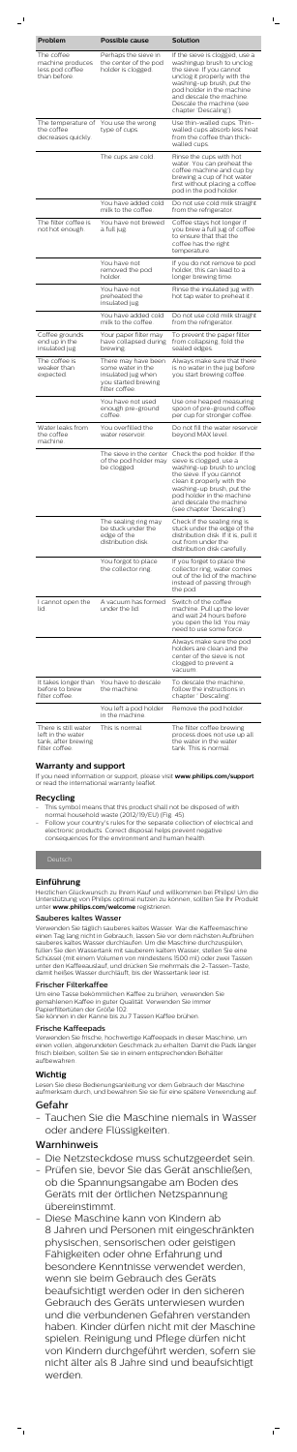| Problem                                                                            | Possible cause                                                                                          | <b>Solution</b>                                                                                                                                                                                                                                                    |
|------------------------------------------------------------------------------------|---------------------------------------------------------------------------------------------------------|--------------------------------------------------------------------------------------------------------------------------------------------------------------------------------------------------------------------------------------------------------------------|
| The coffee<br>machine produces<br>less pod coffee<br>than before.                  | Perhaps the sieve in<br>the center of the pod<br>holder is clogged.                                     | If the sieve is clogged, use a<br>washingup brush to unclog<br>the sieve. If you cannot<br>unclog it properly with the<br>washing-up brush, put the<br>pod holder in the machine<br>and descale the machine.<br>Descale the machine (see<br>chapter 'Descaling').  |
| The temperature of<br>the coffee<br>decreases quickly.                             | You use the wrong<br>type of cups.                                                                      | Use thin-walled cups. Thin-<br>walled cups absorb less heat<br>from the coffee than thick-<br>walled cups.                                                                                                                                                         |
|                                                                                    | The cups are cold.                                                                                      | Rinse the cups with hot<br>water. You can preheat the<br>coffee machine and cup by<br>brewing a cup of hot water<br>first without placing a coffee<br>pod in the pod holder.                                                                                       |
|                                                                                    | You have added cold<br>milk to the coffee.                                                              | Do not use cold milk straight<br>from the refrigerator.                                                                                                                                                                                                            |
| The filter coffee is<br>not hot enough.                                            | You have not brewed<br>a full jug.                                                                      | Coffee stays hot longer if<br>you brew a full jug of coffee<br>to ensure that that the<br>coffee has the right<br>temperature.                                                                                                                                     |
|                                                                                    | You have not<br>removed the pod<br>holder.                                                              | If you do not remove te pod<br>holder, this can lead to a<br>longer brewing time.                                                                                                                                                                                  |
|                                                                                    | You have not<br>preheated the<br>insulated jug.                                                         | Rinse the insulated jug with<br>hot tap water to preheat it .                                                                                                                                                                                                      |
|                                                                                    | You have added cold<br>milk to the coffee.                                                              | Do not use cold milk straight<br>from the refrigerator.                                                                                                                                                                                                            |
| Coffee grounds<br>end up in the<br>insulated jug.                                  | Your paper filter may<br>have collapsed during<br>brewing.                                              | To prevent the paper filter<br>from collapsing, fold the<br>sealed edges.                                                                                                                                                                                          |
| The coffee is<br>weaker than<br>expected.                                          | There may have been<br>some water in the<br>insulated jug when<br>you started brewing<br>filter coffee. | Always make sure that there<br>is no water in the jug before<br>you start brewing coffee.                                                                                                                                                                          |
|                                                                                    | You have not used<br>enough pre-ground<br>coffee.                                                       | Use one heaped measuring<br>spoon of pre-ground coffee<br>per cup for stronger coffee.                                                                                                                                                                             |
| Water leaks from<br>the coffee<br>machine.                                         | You overfilled the<br>water reservoir.                                                                  | Do not fill the water reservoir<br>beyond MAX level.                                                                                                                                                                                                               |
|                                                                                    | The sieve in the center<br>of the pod holder may<br>be clogged.                                         | Check the pod holder. If the<br>sieve is clogged, use a<br>washing-up brush to unclog<br>the sieve. If you cannot<br>clean it properly with the<br>washing-up brush, put the<br>pod holder in the machine<br>and descale the machine<br>(see chapter 'Descaling'). |
|                                                                                    | The sealing ring may<br>be stuck under the<br>edge of the<br>distribution disk.                         | Check if the sealing ring is<br>stuck under the edge of the<br>distribution disk. If it is, pull it<br>out from under the<br>distribution disk carefully.                                                                                                          |
|                                                                                    | You forgot to place<br>the collector ring.                                                              | If you forget to place the<br>collector ring, water comes<br>out of the lid of the machine<br>instead of passing through<br>the pod.                                                                                                                               |
| I cannot open the<br>lid.                                                          | A vacuum has formed<br>under the lid.                                                                   | Switch of the coffee<br>machine. Pull up the lever<br>and wait 24 hours before<br>you open the lid. You may<br>need to use some force.                                                                                                                             |
|                                                                                    |                                                                                                         | Always make sure the pod<br>holders are clean and the<br>center of the sieve is not<br>clogged to prevent a<br>vacuum.                                                                                                                                             |
| It takes longer than<br>before to brew<br>filter coffee.                           | You have to descale<br>the machine.                                                                     | To descale the machine,<br>follow the instructions in<br>chapter ' Descaling'.                                                                                                                                                                                     |
|                                                                                    | You left a pod holder<br>in the machine.                                                                | Remove the pod holder.                                                                                                                                                                                                                                             |
| There is still water<br>left in the water<br>tank, after brewing<br>filter coffee. | This is normal.                                                                                         | The filter coffee brewing<br>process does not use up all<br>the water in the water<br>tank. This is normal.                                                                                                                                                        |

- This symbol means that this product shall not be disposed of with normal household waste (2012/19/EU) (Fig. 45).
- Follow your country's rules for the separate collection of electrical and electronic products. Correct disposal helps prevent negative consequences for the environment and human health.

## **Warranty and support**

If you need information or support, please visit **www.philips.com/support** or read the international warranty leaflet.

## **Recycling**

## **Einführung**

Herzlichen Glückwunsch zu Ihrem Kauf und willkommen bei Philips! Um die Unterstützung von Philips optimal nutzen zu können, sollten Sie Ihr Produkt unter **www.philips.com/welcome** registrieren.

## Sauberes kaltes Wasser

Verwenden Sie täglich sauberes kaltes Wasser. War die Kaffeemaschine einen Tag lang nicht in Gebrauch, lassen Sie vor dem nächsten Aufbrühen sauberes kaltes Wasser durchlaufen. Um die Maschine durchzuspülen, füllen Sie den Wassertank mit sauberem kaltem Wasser, stellen Sie eine Schüssel (mit einem Volumen von mindestens 1500 ml) oder zwei Tassen unter den Kaffeeauslauf, und drücken Sie mehrmals die 2-Tassen-Taste, damit heißes Wasser durchläuft, bis der Wassertank leer ist.

### Frischer Filterkaffee

Um eine Tasse bekömmlichen Kaffee zu brühen, verwenden Sie gemahlenen Kaffee in guter Qualität. Verwenden Sie immer Papierfiltertüten der Größe 102. Sie können in der Kanne bis zu 7 Tassen Kaffee brühen.

## Frische Kaffeepads

Verwenden Sie frische, hochwertige Kaffeepads in dieser Maschine, um einen vollen, abgerundeten Geschmack zu erhalten. Damit die Pads länger frisch bleiben, sollten Sie sie in einem entsprechenden Behälter aufbewahren.

## **Wichtig**

Lesen Sie diese Bedienungsanleitung vor dem Gebrauch der Maschine aufmerksam durch, und bewahren Sie sie für eine spätere Verwendung auf.

# Gefahr

 $\vdash$ <sub>1</sub>

- Tauchen Sie die Maschine niemals in Wasser oder andere Flüssigkeiten.

## Warnhinweis

- Die Netzsteckdose muss schutzgeerdet sein.
- Prüfen sie, bevor Sie das Gerät anschließen, ob die Spannungsangabe am Boden des Geräts mit der örtlichen Netzspannung übereinstimmt.
- Diese Maschine kann von Kindern ab 8 Jahren und Personen mit eingeschränkten physischen, sensorischen oder geistigen Fähigkeiten oder ohne Erfahrung und besondere Kenntnisse verwendet werden, wenn sie beim Gebrauch des Geräts beaufsichtigt werden oder in den sicheren Gebrauch des Geräts unterwiesen wurden und die verbundenen Gefahren verstanden haben. Kinder dürfen nicht mit der Maschine spielen. Reinigung und Pflege dürfen nicht von Kindern durchgeführt werden, sofern sie nicht älter als 8 Jahre sind und beaufsichtigt werden.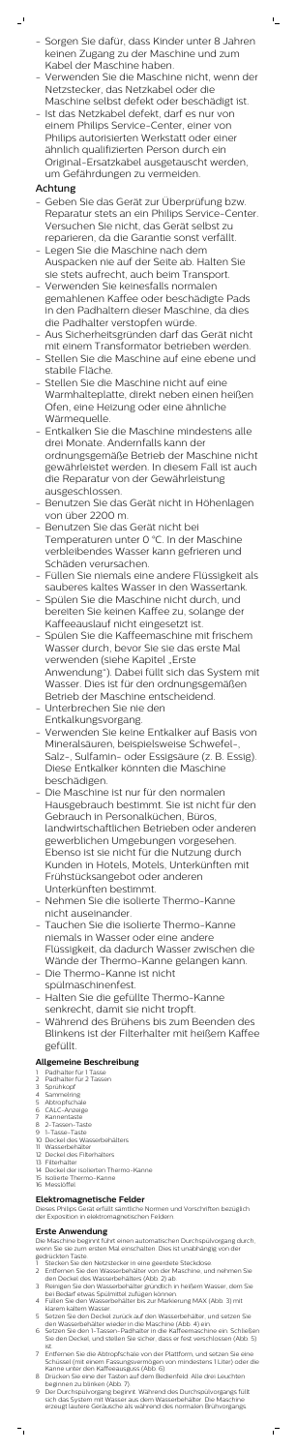- Sorgen Sie dafür, dass Kinder unter 8 Jahren keinen Zugang zu der Maschine und zum Kabel der Maschine haben.

 $\mathbb{L}$ 

- Verwenden Sie die Maschine nicht, wenn der Netzstecker, das Netzkabel oder die Maschine selbst defekt oder beschädigt ist.
- Ist das Netzkabel defekt, darf es nur von einem Philips Service-Center, einer von Philips autorisierten Werkstatt oder einer ähnlich qualifizierten Person durch ein Original-Ersatzkabel ausgetauscht werden, um Gefährdungen zu vermeiden.

# Achtung

 $\mathbf{r}$ 

- Geben Sie das Gerät zur Überprüfung bzw. Reparatur stets an ein Philips Service-Center. Versuchen Sie nicht, das Gerät selbst zu reparieren, da die Garantie sonst verfällt.
- Legen Sie die Maschine nach dem Auspacken nie auf der Seite ab. Halten Sie sie stets aufrecht, auch beim Transport.
- Verwenden Sie keinesfalls normalen gemahlenen Kaffee oder beschädigte Pads in den Padhaltern dieser Maschine, da dies die Padhalter verstopfen würde.
- Aus Sicherheitsgründen darf das Gerät nicht mit einem Transformator betrieben werden.
- Stellen Sie die Maschine auf eine ebene und stabile Fläche.
- Stellen Sie die Maschine nicht auf eine Warmhalteplatte, direkt neben einen heißen Ofen, eine Heizung oder eine ähnliche Wärmequelle.
- Entkalken Sie die Maschine mindestens alle drei Monate. Andernfalls kann der ordnungsgemäße Betrieb der Maschine nicht gewährleistet werden. In diesem Fall ist auch die Reparatur von der Gewährleistung ausgeschlossen.
- Benutzen Sie das Gerät nicht in Höhenlagen von über 2200 m.
- Benutzen Sie das Gerät nicht bei Temperaturen unter 0 °C. In der Maschine verbleibendes Wasser kann gefrieren und Schäden verursachen.
- Füllen Sie niemals eine andere Flüssigkeit als sauberes kaltes Wasser in den Wassertank.
- Spülen Sie die Maschine nicht durch, und bereiten Sie keinen Kaffee zu, solange der Kaffeeauslauf nicht eingesetzt ist.
- Spülen Sie die Kaffeemaschine mit frischem Wasser durch, bevor Sie sie das erste Mal verwenden (siehe Kapitel "Erste Anwendung"). Dabei füllt sich das System mit Wasser. Dies ist für den ordnungsgemäßen Betrieb der Maschine entscheidend.
- Unterbrechen Sie nie den Entkalkungsvorgang.
- Verwenden Sie keine Entkalker auf Basis von Mineralsäuren, beispielsweise Schwefel-,

Salz-, Sulfamin- oder Essigsäure (z. B. Essig). Diese Entkalker könnten die Maschine beschädigen.

- Stecken Sie den Netzstecker in eine geerdete Steckdose.
- 2 Entfernen Sie den Wasserbehälter von der Maschine, und nehmen Sie den Deckel des Wasserbehälters (Abb. 2) ab.
- 3 Reinigen Sie den Wasserbehälter gründlich in heißem Wasser, dem Sie bei Bedarf etwas Spülmittel zufügen können.
- 4 Füllen Sie den Wasserbehälter bis zur Markierung MAX (Abb. 3) mit klarem kaltem Wasser.
- 5 Setzen Sie den Deckel zurück auf den Wasserbehälter, und setzen Sie den Wasserbehälter wieder in die Maschine (Abb. 4) ein.
- 6 Setzen Sie den 1-Tassen-Padhalter in die Kaffeemaschine ein. Schließen Sie den Deckel, und stellen Sie sicher, dass er fest verschlossen (Abb. 5) ist.
- 7 Entfernen Sie die Abtropfschale von der Plattform, und setzen Sie eine Schüssel (mit einem Fassungsvermögen von mindestens 1 Liter) oder die Kanne unter den Kaffeeausguss (Abb. 6).
- 8 Drücken Sie eine der Tasten auf dem Bedienfeld. Alle drei Leuchten beginnen zu blinken (Abb. 7).
- 9 Der Durchspülvorgang beginnt. Während des Durchspülvorgangs füllt sich das System mit Wasser aus dem Wasserbehälter. Die Maschine erzeugt lautere Geräusche als während des normalen Brühvorgangs.

 $^{-}$ 

- Die Maschine ist nur für den normalen Hausgebrauch bestimmt. Sie ist nicht für den Gebrauch in Personalküchen, Büros, landwirtschaftlichen Betrieben oder anderen gewerblichen Umgebungen vorgesehen. Ebenso ist sie nicht für die Nutzung durch Kunden in Hotels, Motels, Unterkünften mit Frühstücksangebot oder anderen Unterkünften bestimmt.
- Nehmen Sie die isolierte Thermo-Kanne nicht auseinander.
- Tauchen Sie die isolierte Thermo-Kanne niemals in Wasser oder eine andere Flüssigkeit, da dadurch Wasser zwischen die Wände der Thermo-Kanne gelangen kann.
- Die Thermo-Kanne ist nicht spülmaschinenfest.
- Halten Sie die gefüllte Thermo-Kanne senkrecht, damit sie nicht tropft.
- Während des Brühens bis zum Beenden des Blinkens ist der Filterhalter mit heißem Kaffee gefüllt.

## **Allgemeine Beschreibung**

- 1 Padhalter für 1 Tasse
- 2 Padhalter für 2 Tassen
- 3 Sprühkopf 4 Sammelring
- 5 Abtropfschale
- 6 CALC-Anzeige
- 7 Kannentaste
- 8 2-Tassen-Taste
- 9 1-Tasse-Taste
- 10 Deckel des Wasserbehälters
- 11 Wasserbehälter
- 12 Deckel des Filterhalters
- 13 Filterhalter
- 14 Deckel der isolierten Thermo-Kanne
- 15 Isolierte Thermo-Kanne
- 16 Messlöffel

# **Elektromagnetische Felder**

Dieses Philips Gerät erfüllt sämtliche Normen und Vorschriften bezüglich der Exposition in elektromagnetischen Feldern.

## **Erste Anwendung**

Die Maschine beginnt führt einen automatischen Durchspülvorgang durch, wenn Sie sie zum ersten Mal einschalten. Dies ist unabhängig von der gedrückten Taste.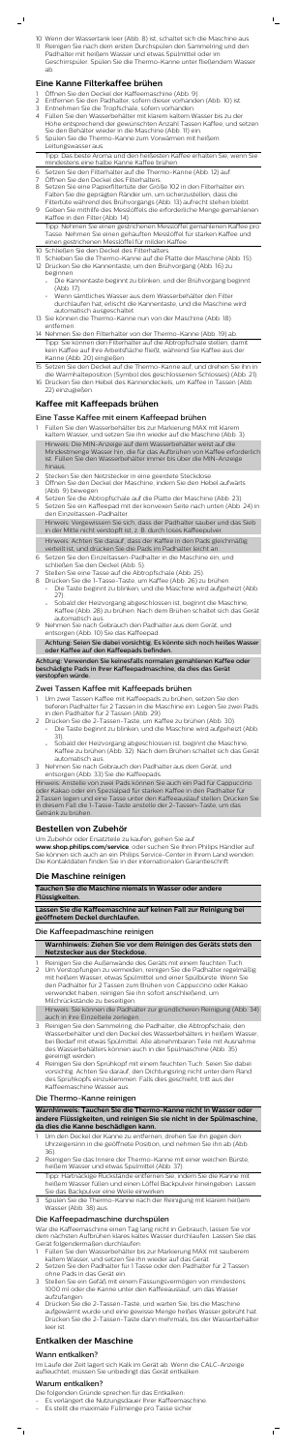10 Wenn der Wassertank leer (Abb. 8) ist, schaltet sich die Maschine aus.

 $\mathbb{L}$ 

11 Reinigen Sie nach dem ersten Durchspülen den Sammelring und den Padhalter mit heißem Wasser und etwas Spülmittel oder im Geschirrspüler. Spülen Sie die Thermo-Kanne unter fließendem Wasser

# ab.

## **Eine Kanne Filterkaffee brühen**

- Öffnen Sie den Deckel der Kaffeemaschine (Abb. 9).
- 2 Entfernen Sie den Padhalter, sofern dieser vorhanden (Abb. 10) ist. 3 Entnehmen Sie die Tropfschale, sofern vorhanden.
- 4 Füllen Sie den Wasserbehälter mit klarem kaltem Wasser bis zu der
- Höhe entsprechend der gewünschten Anzahl Tassen Kaffee, und setzen Sie den Behälter wieder in die Maschine (Abb. 11) ein.
- 5 Spülen Sie die Thermo-Kanne zum Vorwärmen mit heißem Leitungswasser aus.

Tipp: Das beste Aroma und den heißesten Kaffee erhalten Sie, wenn Sie mindestens eine halbe Kanne Kaffee brühen.

6 Setzen Sie den Filterhalter auf die Thermo-Kanne (Abb. 12) auf.

- 7 Öffnen Sie den Deckel des Filterhalters.
- 8 Setzen Sie eine Papierfiltertüte der Größe 102 in den Filterhalter ein. Falten Sie die geprägten Ränder um, um sicherzustellen, dass die Filtertüte während des Brühvorgangs (Abb. 13) aufrecht stehen bleibt.
- 9 Geben Sie mithilfe des Messlöffels die erforderliche Menge gemahlenen Kaffee in den Filter (Abb. 14).
- Tipp: Nehmen Sie einen gestrichenen Messlöffel gemahlenen Kaffee pro Tasse. Nehmen Sie einen gehäuften Messlöffel für starken Kaffee und einen gestrichenen Messlöffel für milden Kaffee.
- 10 Schließen Sie den Deckel des Filterhalters.
- 11 Schieben Sie die Thermo-Kanne auf die Platte der Maschine (Abb. 15).
- 12 Drücken Sie die Kannentaste, um den Brühvorgang (Abb. 16) zu beginnen.
	- Die Kannentaste beginnt zu blinken, und der Brühvorgang beginnt (Abb. 17).
	- Wenn sämtliches Wasser aus dem Wasserbehälter den Filter durchlaufen hat, erlischt die Kannentaste, und die Maschine wird automatisch ausgeschaltet.
- 13 Sie können die Thermo-Kanne nun von der Maschine (Abb. 18) entfernen.
- 14 Nehmen Sie den Filterhalter von der Thermo-Kanne (Abb. 19) ab. Tipp: Sie können den Filterhalter auf die Abtropfschale stellen, damit kein Kaffee auf Ihre Arbeitsfläche fließt, während Sie Kaffee aus der Kanne (Abb. 20) eingießen.
- 15 Setzen Sie den Deckel auf die Thermo-Kanne auf, und drehen Sie ihn in die Warmhalteposition (Symbol des geschlossenen Schlosses) (Abb. 21).
- 16 Drücken Sie den Hebel des Kannendeckels, um Kaffee in Tassen (Abb. 22) einzugießen.

## **Kaffee mit Kaffeepads brühen**

## Eine Tasse Kaffee mit einem Kaffeepad brühen

- 1 Füllen Sie den Wasserbehälter bis zur Markierung MAX mit klarem kaltem Wasser, und setzen Sie ihn wieder auf die Maschine (Abb. 3). Hinweis: Die MIN-Anzeige auf dem Wasserbehälter weist auf die Mindestmenge Wasser hin, die für das Aufbrühen von Kaffee erforderlich ist. Füllen Sie den Wasserbehälter immer bis über die MIN-Anzeige hinaus.
- Stecken Sie den Netzstecker in eine geerdete Steckdose.
- 3 Öffnen Sie den Deckel der Maschine, indem Sie den Hebel aufwärts (Abb. 9) bewegen.
- 4 Setzen Sie die Abtropfschale auf die Platte der Maschine (Abb. 23).
- 5 Setzen Sie ein Kaffeepad mit der konvexen Seite nach unten (Abb. 24) in den Einzeltassen-Padhalter.

- Reinigen Sie die Außenwände des Geräts mit einem feuchten Tuch.
- 2 Um Verstopfungen zu vermeiden, reinigen Sie die Padhalter regelmäßig mit heißem Wasser, etwas Spülmittel und einer Spülbürste. Wenn Sie den Padhalter für 2 Tassen zum Brühen von Cappuccino oder Kakao verwendet haben, reinigen Sie ihn sofort anschließend, um Milchrückstände zu beseitigen.

Hinweis: Vergewissern Sie sich, dass der Padhalter sauber und das Sieb in der Mitte nicht verstopft ist, z. B. durch loses Kaffeepulver.

- Um den Deckel der Kanne zu entfernen, drehen Sie ihn gegen den Uhrzeigersinn in die geöffnete Position, und nehmen Sie ihn ab (Abb. 36).
- 2 Reinigen Sie das Innere der Thermo-Kanne mit einer weichen Bürste, heißem Wasser und etwas Spülmittel (Abb. 37).
- Hinweis: Achten Sie darauf, dass der Kaffee in den Pads gleichmäßig verteilt ist, und drücken Sie die Pads im Padhalter leicht an.
- 6 Setzen Sie den Einzeltassen-Padhalter in die Maschine ein, und schließen Sie den Deckel (Abb. 5).
- 7 Stellen Sie eine Tasse auf die Abtropfschale (Abb. 25).
- 8 Drücken Sie die 1-Tasse-Taste, um Kaffee (Abb. 26) zu brühen.
	- Die Taste beginnt zu blinken, und die Maschine wird aufgeheizt (Abb. 27).
		- Sobald der Heizvorgang abgeschlossen ist, beginnt die Maschine, Kaffee (Abb. 28) zu brühen. Nach dem Brühen schaltet sich das Gerät automatisch aus.
- 9 Nehmen Sie nach Gebrauch den Padhalter aus dem Gerät, und entsorgen (Abb. 10) Sie das Kaffeepad.

Achtung: Seien Sie dabei vorsichtig. Es könnte sich noch heißes Wasser oder Kaffee auf den Kaffeepads befinden.

- Füllen Sie den Wasserbehälter bis zur Markierung MAX mit sauberem kaltem Wasser, und setzen Sie ihn wieder auf das Gerät.
- 2 Setzen Sie den Padhalter für 1 Tasse oder den Padhalter für 2 Tassen ohne Pads in das Gerät ein.
- 3 Stellen Sie ein Gefäß mit einem Fassungsvermögen von mindestens 1000 ml oder die Kanne unter den Kaffeeauslauf, um das Wasser aufzufangen.
- 4 Drücken Sie die 2-Tassen-Taste, und warten Sie, bis die Maschine aufgewärmt wurde und eine gewisse Menge heißes Wasser gebrüht hat. Drücken Sie die 2-Tassen-Taste dann mehrmals, bis der Wasserbehälter leer ist.

Achtung: Verwenden Sie keinesfalls normalen gemahlenen Kaffee oder beschädigte Pads in Ihrer Kaffeepadmaschine, da dies das Gerät verstopfen würde.

## Zwei Tassen Kaffee mit Kaffeepads brühen

- 1 Um zwei Tassen Kaffee mit Kaffeepads zu brühen, setzen Sie den tieferen Padhalter für 2 Tassen in die Maschine ein. Legen Sie zwei Pads in den Padhalter für 2 Tassen (Abb. 29).
- 2 Drücken Sie die 2-Tassen-Taste, um Kaffee zu brühen (Abb. 30). Die Taste beginnt zu blinken, und die Maschine wird aufgeheizt (Abb. 31).
- Sobald der Heizvorgang abgeschlossen ist, beginnt die Maschine,<br>Kaffee zu brüben (Abb. 32). Nach dem Brüben schaltet sich das G Kaffee zu brühen (Abb. 32). Nach dem Brühen schaltet sich das Gerät automatisch aus. 3 Nehmen Sie nach Gebrauch den Padhalter aus dem Gerät, und entsorgen (Abb. 33) Sie die Kaffeepads.

Hinweis: Anstelle von zwei Pads können Sie auch ein Pad für Cappuccino oder Kakao oder ein Spezialpad für starken Kaffee in den Padhalter für 2 Tassen legen und eine Tasse unter den Kaffeeauslauf stellen. Drücken Sie in diesem Fall die 1-Tasse-Taste anstelle der 2-Tassen-Taste, um das Getränk zu brühen.

## **Bestellen von Zubehör**

Um Zubehör oder Ersatzteile zu kaufen, gehen Sie auf

**www.shop.philips.com/service**, oder suchen Sie Ihren Philips Händler auf. Sie können sich auch an ein Philips Service-Center in Ihrem Land wenden. Die Kontaktdaten finden Sie in der internationalen Garantieschrift.

## **Die Maschine reinigen**

**Tauchen Sie die Maschine niemals in Wasser oder andere Flüssigkeiten.**

**Lassen Sie die Kaffeemaschine auf keinen Fall zur Reinigung bei geöffnetem Deckel durchlaufen.**

## Die Kaffeepadmaschine reinigen

**Warnhinweis: Ziehen Sie vor dem Reinigen des Geräts stets den Netzstecker aus der Steckdose.**

Hinweis: Sie können die Padhalter zur gründlicheren Reinigung (Abb. 34) auch in ihre Einzelteile zerlegen.

- 3 Reinigen Sie den Sammelring, die Padhalter, die Abtropfschale, den Wasserbehälter und den Deckel des Wasserbehälters in heißem Wasser, bei Bedarf mit etwas Spülmittel. Alle abnehmbaren Teile mit Ausnahme des Wasserbehälters können auch in der Spülmaschine (Abb. 35) gereinigt werden.
- Reinigen Sie den Sprühkopf mit einem feuchten Tuch. Seien Sie dabei vorsichtig. Achten Sie darauf, den Dichtungsring nicht unter dem Rand des Sprühkopfs einzuklemmen. Falls dies geschieht, tritt aus der Kaffeemaschine Wasser aus.

## Die Thermo-Kanne reinigen

**Warnhinweis: Tauchen Sie die Thermo-Kanne nicht in Wasser oder andere Flüssigkeiten, und reinigen Sie sie nicht in der Spülmaschine, da dies die Kanne beschädigen kann.**

Tipp: Hartnäckige Rückstände entfernen Sie, indem Sie die Kanne mit heißem Wasser füllen und einen Löffel Backpulver hineingeben. Lassen Sie das Backpulver eine Weile einwirken.

3 Spülen Sie die Thermo-Kanne nach der Reinigung mit klarem heißem Wasser (Abb. 38) aus.

## Die Kaffeepadmaschine durchspülen

War die Kaffeemaschine einen Tag lang nicht in Gebrauch, lassen Sie vor dem nächsten Aufbrühen klares kaltes Wasser durchlaufen. Lassen Sie das Gerät folgendermaßen durchlaufen:

## **Entkalken der Maschine**

## Wann entkalken?

Im Laufe der Zeit lagert sich Kalk im Gerät ab. Wenn die CALC-Anzeige aufleuchtet, müssen Sie unbedingt das Gerät entkalken.

 $^{-}$ 

### Warum entkalken?

Die folgenden Gründe sprechen für das Entkalken:

- Es verlängert die Nutzungsdauer Ihrer Kaffeemaschine.
- Es stellt die maximale Füllmenge pro Tasse sicher.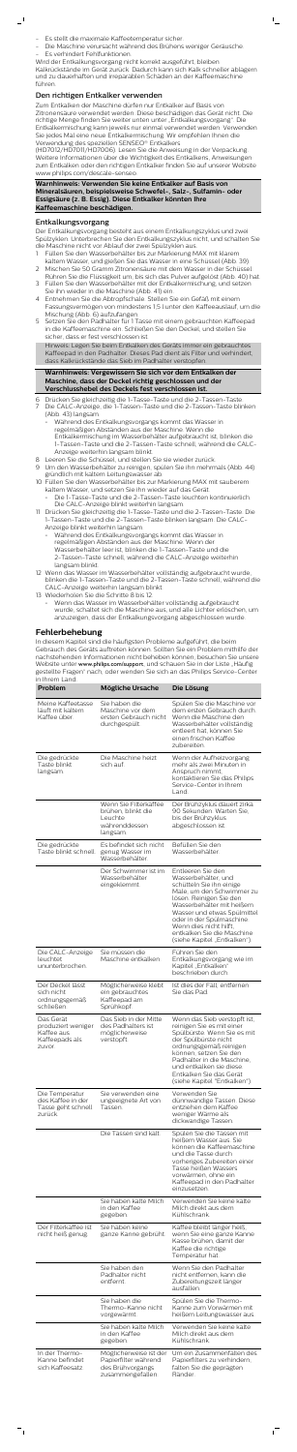

- Es stellt die maximale Kaffeetemperatur sicher.
- Die Maschine verursacht während des Brühens weniger Geräusche. Es verhindert Fehlfunktionen.
- Wird der Entkalkungsvorgang nicht korrekt ausgeführt, bleiben

Kalkrückstände im Gerät zurück. Dadurch kann sich Kalk schneller ablagern und zu dauerhaften und irreparablen Schäden an der Kaffeemaschine führen.

#### Den richtigen Entkalker verwenden

Zum Entkalken der Maschine dürfen nur Entkalker auf Basis von Zitronensäure verwendet werden. Diese beschädigen das Gerät nicht. Die richtige Menge finden Sie weiter unten unter "Entkalkungsvorgang". Die Entkalkermischung kann jeweils nur einmal verwendet werden. Verwenden Sie jedes Mal eine neue Entkalkermischung. Wir empfehlen Ihnen die Verwendung des speziellen SENSEO® Entkalkers

(HD7012/HD7011/HD7006). Lesen Sie die Anweisung in der Verpackung. Weitere Informationen über die Wichtigkeit des Entkalkens, Anweisungen zum Entkalken oder den richtigen Entkalker finden Sie auf unserer Website www.philips.com/descale-senseo.

**Warnhinweis: Verwenden Sie keine Entkalker auf Basis von Mineralsäuren, beispielsweise Schwefel-, Salz-, Sulfamin- oder Essigsäure (z. B. Essig). Diese Entkalker könnten Ihre Kaffeemaschine beschädigen.**

#### Entkalkungsvorgang

 $\overline{\phantom{0}}$ 

Der Entkalkungsvorgang besteht aus einem Entkalkungszyklus und zwei Spülzyklen. Unterbrechen Sie den Entkalkungszyklus nicht, und schalten Sie die Maschine nicht vor Ablauf der zwei Spülzyklen aus.

- 1 Füllen Sie den Wasserbehälter bis zur Markierung MAX mit klarem kaltem Wasser, und gießen Sie das Wasser in eine Schüssel (Abb. 39).
- 2 Mischen Sie 50 Gramm Zitronensäure mit dem Wasser in der Schüssel. Rühren Sie die Flüssigkeit um, bis sich das Pulver aufgelöst (Abb. 40) hat.
- 3 Füllen Sie den Wasserbehälter mit der Entkalkermischung, und setzen Sie ihn wieder in die Maschine (Abb. 41) ein.
- 4 Entnehmen Sie die Abtropfschale. Stellen Sie ein Gefäß mit einem Fassungsvermögen von mindestens 1,5 l unter den Kaffeeauslauf, um die Mischung (Abb. 6) aufzufangen.
- 5 Setzen Sie den Padhalter für 1 Tasse mit einem gebrauchten Kaffeepad in die Kaffeemaschine ein. Schließen Sie den Deckel, und stellen Sie sicher, dass er fest verschlossen ist.

Hinweis: Legen Sie beim Entkalken des Geräts immer ein gebrauchtes Kaffeepad in den Padhalter. Dieses Pad dient als Filter und verhindert, dass Kalkrückstände das Sieb im Padhalter verstopfen.

#### **Warnhinweis: Vergewissern Sie sich vor dem Entkalken der Maschine, dass der Deckel richtig geschlossen und der Verschlusshebel des Deckels fest verschlossen ist.**

- 6 Drücken Sie gleichzeitig die 1-Tasse-Taste und die 2-Tassen-Taste. Die CALC-Anzeige, die 1-Tassen-Taste und die 2-Tassen-Taste blinken (Abb. 43) langsam.
	- Während des Entkalkungsvorgangs kommt das Wasser in regelmäßigen Abständen aus der Maschine. Wenn die Entkalkermischung im Wasserbehälter aufgebraucht ist, blinken die 1-Tassen-Taste und die 2-Tassen-Taste schnell, während die CALC-Anzeige weiterhin langsam blinkt.
- 8 Leeren Sie die Schüssel, und stellen Sie sie wieder zurück.
- 9 Um den Wasserbehälter zu reinigen, spülen Sie ihn mehrmals (Abb. 44) gründlich mit kaltem Leitungswasser ab.
- 10 Füllen Sie den Wasserbehälter bis zur Markierung MAX mit sauberem kaltem Wasser, und setzen Sie ihn wieder auf das Gerät.
	- Die 1-Tasse-Taste und die 2-Tassen-Taste leuchten kontinuierlich. Die CALC-Anzeige blinkt weiterhin langsam.
- 11 Drücken Sie gleichzeitig die 1-Tasse-Taste und die 2-Tassen-Taste. Die 1-Tassen-Taste und die 2-Tassen-Taste blinken langsam. Die CALC-Anzeige blinkt weiterhin langsam.
	- Während des Entkalkungsvorgangs kommt das Wasser in regelmäßigen Abständen aus der Maschine. Wenn der Wasserbehälter leer ist, blinken die 1-Tassen-Taste und die 2-Tassen-Taste schnell, während die CALC-Anzeige weiterhin langsam blinkt.
- 12 Wenn das Wasser im Wasserbehälter vollständig aufgebraucht wurde, blinken die 1-Tassen-Taste und die 2-Tassen-Taste schnell, während die CALC-Anzeige weiterhin langsam blinkt.
- 13 Wiederholen Sie die Schritte 8 bis 12.
	- Wenn das Wasser im Wasserbehälter vollständig aufgebraucht wurde, schaltet sich die Maschine aus, und alle Lichter erlöschen, um anzuzeigen, dass der Entkalkungsvorgang abgeschlossen wurde.

#### **Fehlerbehebung**

In diesem Kapitel sind die häufigsten Probleme aufgeführt, die beim Gebrauch des Geräts auftreten können. Sollten Sie ein Problem mithilfe der nachstehenden Informationen nicht beheben können, besuchen Sie unsere Website unter [www.philips.com/support](http://www.philips.com/support), und schauen Sie in der Liste "Häufig gestellte Fragen" nach, oder wenden Sie sich an das Philips Service-Center in Ihrem Land.

| Problem                                              | Mögliche Ursache                                                            | Die Lösung                                                                                                                                                            |
|------------------------------------------------------|-----------------------------------------------------------------------------|-----------------------------------------------------------------------------------------------------------------------------------------------------------------------|
| Meine Kaffeetasse<br>läuft mit kaltem<br>Kaffee über | Sie haben die<br>Maschine vor dem<br>ersten Gebrauch nicht<br>durchgespült. | Spülen Sie die Maschine vor<br>dem ersten Gebrauch durch.<br>Wenn die Maschine den<br>Wasserbehälter vollständig<br>entleert hat, können Sie<br>einen frischen Kaffee |

zubereiten.

| Die gedrückte<br>Taste blinkt<br>langsam.                                 | Die Maschine heizt<br>sich auf.                                                         | Wenn der Aufheizvorgang<br>mehr als zwei Minuten in<br>Anspruch nimmt,<br>kontaktieren Sie das Philips<br>Service-Center in Ihrem<br>Land.                                                                                                                                                                    |
|---------------------------------------------------------------------------|-----------------------------------------------------------------------------------------|---------------------------------------------------------------------------------------------------------------------------------------------------------------------------------------------------------------------------------------------------------------------------------------------------------------|
|                                                                           | Wenn Sie Filterkaffee<br>brühen, blinkt die<br>Leuchte<br>währenddessen<br>langsam.     | Der Brühzyklus dauert zirka<br>90 Sekunden. Warten Sie,<br>bis der Brühzyklus<br>abgeschlossen ist.                                                                                                                                                                                                           |
| Die gedrückte<br>Taste blinkt schnell.                                    | Es befindet sich nicht<br>genug Wasser im<br>Wasserbehälter.                            | Befüllen Sie den<br>Wasserbehälter.                                                                                                                                                                                                                                                                           |
|                                                                           | Der Schwimmer ist im<br>Wasserbehälter<br>eingeklemmt.                                  | Entleeren Sie den<br>Wasserbehälter, und<br>schütteln Sie ihn einige<br>Male, um den Schwimmer zu<br>lösen. Reinigen Sie den<br>Wasserbehälter mit heißem<br>Wasser und etwas Spülmittel<br>oder in der Spülmaschine.<br>Wenn dies nicht hilft,<br>entkalken Sie die Maschine<br>(siehe Kapitel "Entkalken"). |
| Die CALC-Anzeige<br>leuchtet<br>ununterbrochen.                           | Sie müssen die<br>Maschine entkalken.                                                   | Führen Sie den<br>Entkalkungsvorgang wie im<br>Kapitel "Entkalken"<br>beschrieben durch.                                                                                                                                                                                                                      |
| Der Deckel lässt<br>sich nicht<br>ordnungsgemäß<br>schließen.             | Möglicherweise klebt<br>ein gebrauchtes<br>Kaffeepad am<br>Sprühkopf.                   | Ist dies der Fall, entfernen<br>Sie das Pad.                                                                                                                                                                                                                                                                  |
| Das Gerät<br>produziert weniger<br>Kaffee aus<br>Kaffeepads als<br>zuvor. | Das Sieb in der Mitte<br>des Padhalters ist<br>möglicherweise<br>verstopft.             | Wenn das Sieb verstopft ist,<br>reinigen Sie es mit einer<br>Spülbürste. Wenn Sie es mit<br>der Spülbürste nicht<br>ordnungsgemäß reinigen<br>können, setzen Sie den<br>Padhalter in die Maschine,<br>und entkalken sie diese.<br>Entkalken Sie das Gerät<br>(siehe Kapitel "Entkalken").                     |
| Die Temperatur<br>des Kaffee in der<br>Tasse geht schnell<br>zurück.      | Sie verwenden eine<br>ungeeignete Art von<br>Tassen.                                    | Verwenden Sie<br>dünnwandige Tassen. Diese<br>entziehen dem Kaffee<br>weniger Wärme als<br>dickwandige Tassen.                                                                                                                                                                                                |
|                                                                           | Die Tassen sind kalt.                                                                   | Spülen Sie die Tassen mit<br>heißem Wasser aus. Sie<br>können die Kaffeemaschine<br>und die Tasse durch<br>vorheriges Zubereiten einer<br>Tasse heißen Wassers<br>vorwärmen, ohne ein<br>Kaffeepad in den Padhalter<br>einzusetzen.                                                                           |
|                                                                           | Sie haben kalte Milch<br>in den Kaffee<br>gegeben.                                      | Verwenden Sie keine kalte<br>Milch direkt aus dem<br>Kühlschrank.                                                                                                                                                                                                                                             |
| Der Filterkaffee ist<br>nicht heiß genug.                                 | Sie haben keine<br>ganze Kanne gebrüht.                                                 | Kaffee bleibt länger heiß,<br>wenn Sie eine ganze Kanne<br>Kasse brühen, damit der<br>Kaffee die richtige<br>Temperatur hat.                                                                                                                                                                                  |
|                                                                           | Sie haben den<br>Padhalter nicht<br>entfernt.                                           | Wenn Sie den Padhalter<br>nicht entfernen, kann die<br>Zubereitungszeit länger<br>ausfallen.                                                                                                                                                                                                                  |
|                                                                           | Sie haben die<br>Thermo-Kanne nicht<br>vorgewärmt.                                      | Spülen Sie die Thermo-<br>Kanne zum Vorwärmen mit<br>heißem Leitungswasser aus.                                                                                                                                                                                                                               |
|                                                                           | Sie haben kalte Milch<br>in den Kaffee<br>gegeben.                                      | Verwenden Sie keine kalte<br>Milch direkt aus dem<br>Kühlschrank.                                                                                                                                                                                                                                             |
| In der Thermo-<br>Kanne befindet<br>sich Kaffeesatz.                      | Möglicherweise ist der<br>Papierfilter während<br>des Brühvorgangs<br>zusammengefallen. | Um ein Zusammenfallen des<br>Papierfilters zu verhindern,<br>falten Sie die geprägten<br>Ränder.                                                                                                                                                                                                              |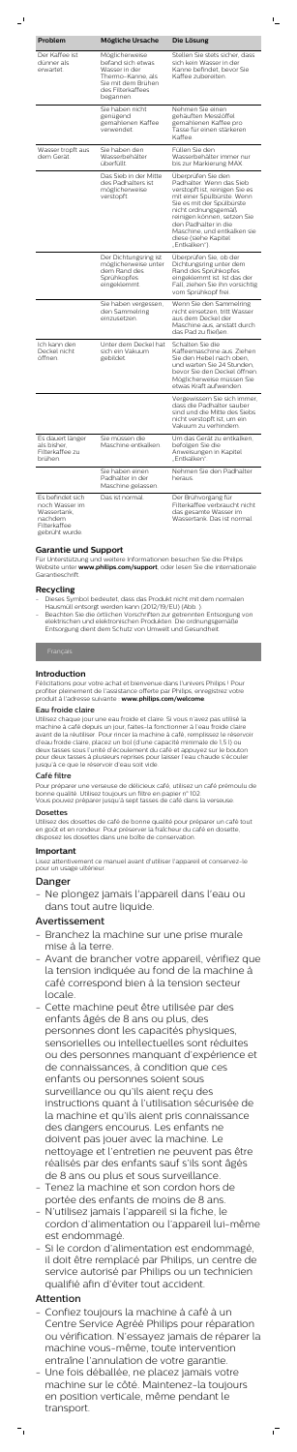| Problem                                                                                        | Mögliche Ursache                                                                                                                  | Die Lösung                                                                                                                                                                                                                                                                                        |
|------------------------------------------------------------------------------------------------|-----------------------------------------------------------------------------------------------------------------------------------|---------------------------------------------------------------------------------------------------------------------------------------------------------------------------------------------------------------------------------------------------------------------------------------------------|
|                                                                                                |                                                                                                                                   |                                                                                                                                                                                                                                                                                                   |
| Der Kaffee ist<br>dünner als<br>erwartet.                                                      | Möglicherweise<br>befand sich etwas<br>Wasser in der<br>Thermo-Kanne, als<br>Sie mit dem Brühen<br>des Filterkaffees<br>begannen. | Stellen Sie stets sicher, dass<br>sich kein Wasser in der<br>Kanne befindet, bevor Sie<br>Kaffee zubereiten.                                                                                                                                                                                      |
|                                                                                                | Sie haben nicht<br>genügend<br>gemahlenen Kaffee<br>verwendet.                                                                    | Nehmen Sie einen<br>gehäuften Messlöffel<br>gemahlenen Kaffee pro<br>Tasse für einen stärkeren<br>Kaffee                                                                                                                                                                                          |
| Wasser tropft aus<br>dem Gerät.                                                                | Sie haben den<br>Wasserbehälter<br>überfüllt.                                                                                     | Füllen Sie den<br>Wasserbehälter immer nur<br>bis zur Markierung MAX.                                                                                                                                                                                                                             |
|                                                                                                | Das Sieb in der Mitte<br>des Padhalters ist<br>möglicherweise<br>verstopft.                                                       | Überprüfen Sie den<br>Padhalter. Wenn das Sieb<br>verstopft ist, reinigen Sie es<br>mit einer Spülbürste. Wenn<br>Sie es mit der Spülbürste<br>nicht ordnungsgemäß<br>reinigen können, setzen Sie<br>den Padhalter in die<br>Maschine, und entkalken sie<br>diese (siehe Kapitel<br>"Entkalken"). |
|                                                                                                | Der Dichtungsring ist<br>möglicherweise unter<br>dem Rand des<br>Sprühkopfes<br>eingeklemmt.                                      | Überprüfen Sie, ob der<br>Dichtungsring unter dem<br>Rand des Sprühkopfes<br>eingeklemmt ist. Ist das der<br>Fall, ziehen Sie ihn vorsichtig<br>vom Sprühkopf frei.                                                                                                                               |
|                                                                                                | Sie haben vergessen,<br>den Sammelring<br>einzusetzen.                                                                            | Wenn Sie den Sammelring<br>nicht einsetzen, tritt Wasser<br>aus dem Deckel der<br>Maschine aus, anstatt durch<br>das Pad zu fließen.                                                                                                                                                              |
| Ich kann den<br>Deckel nicht<br>öffnen.                                                        | Unter dem Deckel hat<br>sich ein Vakuum<br>gebildet.                                                                              | Schalten Sie die<br>Kaffeemaschine aus. Ziehen<br>Sie den Hebel nach oben,<br>und warten Sie 24 Stunden,<br>bevor Sie den Deckel öffnen.<br>Möglicherweise müssen Sie<br>etwas Kraft aufwenden.                                                                                                   |
|                                                                                                |                                                                                                                                   | Vergewissern Sie sich immer,<br>dass die Padhalter sauber<br>sind und die Mitte des Siebs<br>nicht verstopft ist, um ein<br>Vakuum zu verhindern.                                                                                                                                                 |
| Es dauert länger<br>als bisher.<br>Filterkaffee zu<br>brühen.                                  | Sie müssen die<br>Maschine entkalken.                                                                                             | Um das Gerät zu entkalken,<br>befolgen Sie die<br>Anweisungen in Kapitel<br>"Entkalken".                                                                                                                                                                                                          |
|                                                                                                | Sie haben einen<br>Padhalter in der<br>Maschine gelassen.                                                                         | Nehmen Sie den Padhalter<br>heraus.                                                                                                                                                                                                                                                               |
| Es befindet sich<br>noch Wasser im<br>Wassertank.<br>nachdem<br>Filterkaffee<br>gebrüht wurde. | Das ist normal.                                                                                                                   | Der Brühvorgang für<br>Filterkaffee verbraucht nicht<br>das gesamte Wasser im<br>Wassertank. Das ist normal.                                                                                                                                                                                      |

 $\mathbb{L}$ 

- Dieses Symbol bedeutet, dass das Produkt nicht mit dem normalen Hausmüll entsorgt werden kann (2012/19/EU) (Abb. ).
- Beachten Sie die örtlichen Vorschriften zur getrennten Entsorgung von elektrischen und elektronischen Produkten. Die ordnungsgemäße Entsorgung dient dem Schutz von Umwelt und Gesundheit.

## **Garantie und Support**

Für Unterstützung und weitere Informationen besuchen Sie die Philips Website unter **www.philips.com/support**, oder lesen Sie die internationale Garantieschrift.

## **Recycling**

#### **Introduction**

Félicitations pour votre achat et bienvenue dans l'univers Philips ! Pour profiter pleinement de l'assistance offerte par Philips, enregistrez votre produit à l'adresse suivante : **www.philips.com/welcome**.

#### Eau froide claire

Utilisez chaque jour une eau froide et claire. Si vous n'avez pas utilisé la machine à café depuis un jour, faites-la fonctionner à l'eau froide claire avant de la réutiliser. Pour rincer la machine à café, remplissez le réservoir d'eau froide claire, placez un bol (d'une capacité minimale de 1,5 l) ou deux tasses sous l'unité d'écoulement du café et appuyez sur le bouto pour deux tasses à plusieurs reprises pour laisser l'eau chaude s'écouler jusqu'à ce que le réservoir d'eau soit vide.

## Café filtre

Pour préparer une verseuse de délicieux café, utilisez un café prémoulu de bonne qualité. Utilisez toujours un filtre en papier n° 102. Vous pouvez préparer jusqu'à sept tasses de café dans la verseuse.

## Dosettes

Utilisez des dosettes de café de bonne qualité pour préparer un café tout en goût et en rondeur. Pour préserver la fraîcheur du café en dosette, disposez les dosettes dans une boîte de conservation.

## **Important**

Lisez attentivement ce manuel avant d'utiliser l'appareil et conservez-le pour un usage ultérieur.

## Danger

- Ne plongez jamais l'appareil dans l'eau ou dans tout autre liquide.

# Avertissement

- Branchez la machine sur une prise murale mise à la terre.
- Avant de brancher votre appareil, vérifiez que la tension indiquée au fond de la machine à café correspond bien à la tension secteur locale.
- Cette machine peut être utilisée par des enfants âgés de 8 ans ou plus, des personnes dont les capacités physiques, sensorielles ou intellectuelles sont réduites ou des personnes manquant d'expérience et de connaissances, à condition que ces enfants ou personnes soient sous surveillance ou qu'ils aient reçu des instructions quant à l'utilisation sécurisée de la machine et qu'ils aient pris connaissance des dangers encourus. Les enfants ne doivent pas jouer avec la machine. Le nettoyage et l'entretien ne peuvent pas être réalisés par des enfants sauf s'ils sont âgés de 8 ans ou plus et sous surveillance.
- Tenez la machine et son cordon hors de portée des enfants de moins de 8 ans.
- N'utilisez jamais l'appareil si la fiche, le cordon d'alimentation ou l'appareil lui-même est endommagé.
- Si le cordon d'alimentation est endommagé, il doit être remplacé par Philips, un centre de service autorisé par Philips ou un technicien qualifié afin d'éviter tout accident.

# Attention

- Confiez toujours la machine à café à un Centre Service Agréé Philips pour réparation ou vérification. N'essayez jamais de réparer la machine vous-même, toute intervention entraîne l'annulation de votre garantie.
- Une fois déballée, ne placez jamais votre machine sur le côté. Maintenez-la toujours en position verticale, même pendant le transport.

 $\overline{1}$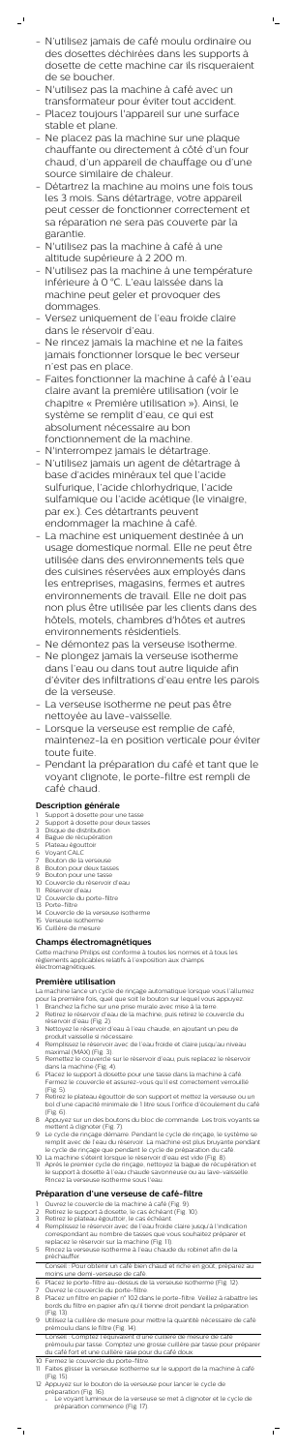- N'utilisez jamais de café moulu ordinaire ou des dosettes déchirées dans les supports à dosette de cette machine car ils risqueraient de se boucher.

 $\mathbb{L}$ 

- N'utilisez pas la machine à café avec un transformateur pour éviter tout accident.

 $\mathbf{r}$ 

- Placez toujours l'appareil sur une surface stable et plane.
- Ne placez pas la machine sur une plaque chauffante ou directement à côté d'un four chaud, d'un appareil de chauffage ou d'une source similaire de chaleur.
- Détartrez la machine au moins une fois tous les 3 mois. Sans détartrage, votre appareil peut cesser de fonctionner correctement et sa réparation ne sera pas couverte par la garantie.
- N'utilisez pas la machine à café à une altitude supérieure à 2 200 m.
- N'utilisez pas la machine à une température inférieure à 0 °C. L'eau laissée dans la machine peut geler et provoquer des dommages.
- Versez uniquement de l'eau froide claire dans le réservoir d'eau.
- Ne rincez jamais la machine et ne la faites jamais fonctionner lorsque le bec verseur n'est pas en place.
- Faites fonctionner la machine à café à l'eau claire avant la première utilisation (voir le chapitre « Première utilisation »). Ainsi, le système se remplit d'eau, ce qui est absolument nécessaire au bon fonctionnement de la machine.
- N'interrompez jamais le détartrage.
- N'utilisez jamais un agent de détartrage à base d'acides minéraux tel que l'acide sulfurique, l'acide chlorhydrique, l'acide sulfamique ou l'acide acétique (le vinaigre, par ex.). Ces détartrants peuvent endommager la machine à café.
- La machine est uniquement destinée à un usage domestique normal. Elle ne peut être utilisée dans des environnements tels que des cuisines réservées aux employés dans les entreprises, magasins, fermes et autres environnements de travail. Elle ne doit pas non plus être utilisée par les clients dans des hôtels, motels, chambres d'hôtes et autres environnements résidentiels.
- Ne démontez pas la verseuse isotherme.
- Ne plongez jamais la verseuse isotherme dans l'eau ou dans tout autre liquide afin d'éviter des infiltrations d'eau entre les parois de la verseuse.
- La verseuse isotherme ne peut pas être nettoyée au lave-vaisselle.
- Lorsque la verseuse est remplie de café, maintenez-la en position verticale pour éviter toute fuite. - Pendant la préparation du café et tant que le voyant clignote, le porte-filtre est rempli de café chaud.

- Support à dosette pour une tasse
- Support à dosette pour deux tasses
- 3 Disque de distribution
- 4 Bague de récupération
- 5 Plateau égouttoir 6 Voyant CALC
- Bouton de la verseuse
- 8 Bouton pour deux tasses
- 9 Bouton pour une tasse
- 10 Couvercle du réservoir d'eau
- 11 Réservoir d'eau
- 12 Couvercle du porte-filtre
- 13 Porte-filtre
- 14 Couvercle de la verseuse isotherme
- 15 Verseuse isotherme
- 16 Cuillère de mesure

- Branchez la fiche sur une prise murale avec mise à la terre.
- 2 Retirez le réservoir d'eau de la machine, puis retirez le couvercle du réservoir d'eau (Fig. 2).
- 3 Nettoyez le réservoir d'eau à l'eau chaude, en ajoutant un peu de produit vaisselle si nécessaire.
- 4 Remplissez le réservoir avec de l'eau froide et claire jusqu'au niveau maximal (MAX) (Fig. 3).
- 5 Remettez le couvercle sur le réservoir d'eau, puis replacez le réservoir dans la machine (Fig. 4).
- 6 Placez le support à dosette pour une tasse dans la machine à café. Fermez le couvercle et assurez-vous qu'il est correctement verrouillé (Fig. 5).
- 7 Retirez le plateau égouttoir de son support et mettez la verseuse ou un bol d'une capacité minimale de 1 litre sous l'orifice d'écoulement du café (Fig. 6).
- 8 Appuyez sur un des boutons du bloc de commande. Les trois voyants se mettent à clignoter (Fig. 7).
- 9 Le cycle de rinçage démarre. Pendant le cycle de rinçage, le système se remplit avec de l'eau du réservoir. La machine est plus bruyante pendant le cycle de rinçage que pendant le cycle de préparation du café.
- 10 La machine s'éteint lorsque le réservoir d'eau est vide (Fig. 8).
- 11 Après le premier cycle de rinçage, nettoyez la bague de récupération et le support à dosette à l'eau chaude savonneuse ou au lave-vaisselle. Rincez la verseuse isotherme sous l'eau.

# **Description générale**

- Ouvrez le couvercle de la machine à café (Fig. 9).
- 2 Retirez le support à dosette, le cas échéant (Fig. 10).
- 3 Retirez le plateau égouttoir, le cas échéant.
- 4 Remplissez le réservoir avec de l'eau froide claire jusqu'à l'indication correspondant au nombre de tasses que vous souhaitez préparer et replacez le réservoir sur la machine (Fig. 11).
- 5 Rincez la verseuse isotherme à l'eau chaude du robinet afin de la préchauffer.

# **Champs électromagnétiques**

Cette machine Philips est conforme à toutes les normes et à tous les règlements applicables relatifs à l'exposition aux champs électromagnétiques.

# **Première utilisation**

La machine lance un cycle de rinçage automatique lorsque vous l'allumez pour la première fois, quel que soit le bouton sur lequel vous appuyez.

# **Préparation d'une verseuse de café-filtre**

Conseil : Pour obtenir un café bien chaud et riche en goût, préparez au moins une demi-verseuse de café.

- 6 Placez le porte-filtre au-dessus de la verseuse isotherme (Fig. 12).
- Ouvrez le couvercle du porte-filtre.
- 8 Placez un filtre en papier n° 102 dans le porte-filtre. Veillez à rabattre les bords du filtre en papier afin qu'il tienne droit pendant la préparation (Fig. 13).
- 9 Utilisez la cuillère de mesure pour mettre la quantité nécessaire de café prémoulu dans le filtre (Fig. 14).
- Conseil : Comptez l'équivalent d'une cuillère de mesure de café prémoulu par tasse. Comptez une grosse cuillère par tasse pour préparer du café fort et une cuillère rase pour du café doux.
- 10 Fermez le couvercle du porte-filtre.
- 11 Faites glisser la verseuse isotherme sur le support de la machine à café (Fig. 15).
- 12 Appuyez sur le bouton de la verseuse pour lancer le cycle de préparation (Fig. 16).
	- Le voyant lumineux de la verseuse se met à clignoter et le cycle de préparation commence (Fig. 17).

 $\sqrt{2}$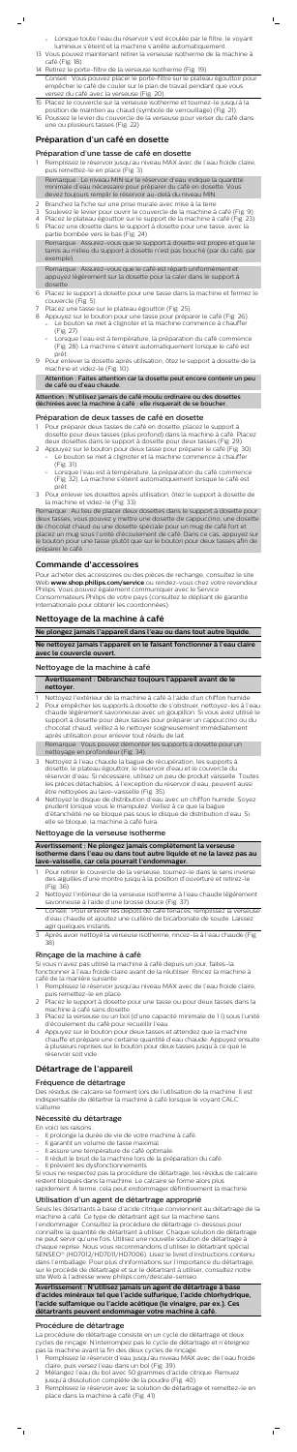Lorsque toute l'eau du réservoir s'est écoulée par le filtre, le voyant lumineux s'éteint et la machine s'arrête automatiquement.

 $\mathsf{I}$ 

- 13 Vous pouvez maintenant retirer la verseuse isotherme de la machine à café (Fig. 18).
- 14 Retirez le porte-filtre de la verseuse isotherme (Fig. 19). Conseil : Vous pouvez placer le porte-filtre sur le plateau égouttoir pour empêcher le café de couler sur le plan de travail pendant que vous versez du café avec la verseuse (Fig. 20).
- 15 Placez le couvercle sur la verseuse isotherme et tournez-le jusqu'à la position de maintien au chaud (symbole de verrouillage) (Fig. 21).
- 16 Poussez le levier du couvercle de la verseuse pour verser du café dans une ou plusieurs tasses (Fig. 22).

- Remplissez le réservoir jusqu'au niveau MAX avec de l'eau froide claire, puis remettez-le en place (Fig. 3). Remarque : Le niveau MIN sur le réservoir d'eau indique la quantité
- minimale d'eau nécessaire pour préparer du café en dosette. Vous devez toujours remplir le réservoir au-delà du niveau MIN.
- 2 Branchez la fiche sur une prise murale avec mise à la terre.
- 3 Soulevez le levier pour ouvrir le couvercle de la machine à café (Fig. 9).
- 4 Placez le plateau égouttoir sur le support de la machine à café (Fig. 23).
- 5 Placez une dosette dans le support à dosette pour une tasse, avec la partie bombée vers le bas (Fig. 24).

## **Préparation d'un café en dosette**

## Préparation d'une tasse de café en dosette

Remarque : Assurez-vous que le support à dosette est propre et que le tamis au milieu du support à dosette n'est pas bouché (par du café, par exemple).

- Pour préparer deux tasses de café en dosette, placez le support à dosette pour deux tasses (plus profond) dans la machine à café. Placez deux dosettes dans le support à dosette pour deux tasses (Fig. 29).
- Appuyez sur le bouton pour deux tasse pour préparer le café (Fig. 30). Le bouton se met à clignoter et la machine commence à chauffer
	- (Fig. 31). - Lorsque l'eau est à température, la préparation du café commence (Fig. 32). La machine s'éteint automatiquement lorsque le café est
- prêt. 3 Pour enlever les dosettes après utilisation, ôtez le support à dosette de la machine et videz-le (Fig. 33).

Remarque : Assurez-vous que le café est réparti uniformément et appuyez légèrement sur la dosette pour la caler dans le support à dosette.

- 6 Placez le support à dosette pour une tasse dans la machine et fermez le couvercle (Fig. 5).
- Placez une tasse sur le plateau égouttoir (Fig. 25).
- 8 Appuyez sur le bouton pour une tasse pour préparer le café (Fig. 26). Le bouton se met à clignoter et la machine commence à chauffer (Fig. 27).
	- Lorsque l'eau est à température, la préparation du café commence (Fig. 28). La machine s'éteint automatiquement lorsque le café est prêt.
- 9 Pour enlever la dosette après utilisation, ôtez le support à dosette de la machine et videz-le (Fig. 10).

Attention : Faites attention car la dosette peut encore contenir un peu de café ou d'eau chaude.

Attention : N'utilisez jamais de café moulu ordinaire ou des dosettes déchirées avec la machine à café : elle risquerait de se boucher.

## Préparation de deux tasses de café en dosette

- Pour retirer le couvercle de la verseuse, tournez-le dans le sens inverse des aiguilles d'une montre jusqu'à la position d'ouverture et retirez-le (Fig. 36).
- 2 Nettoyez l'intérieur de la verseuse isotherme à l'eau chaude légèrement savonneuse à l'aide d'une brosse douce (Fig. 37).

Remarque : Au lieu de placer deux dosettes dans le support à dosette pour deux tasses, vous pouvez y mettre une dosette de cappuccino, une dosette de chocolat chaud ou une dosette spéciale pour un mug de café fort et placez un mug sous l'unité d'écoulement de café. Dans ce cas, appuyez sur le bouton pour une tasse plutôt que sur le bouton pour deux tasses afin de préparer le café.

## **Commande d'accessoires**

Pour acheter des accessoires ou des pièces de rechange, consultez le site Web **www.shop.philips.com/service** ou rendez-vous chez votre revendeur Philips. Vous pouvez également communiquer avec le Service Consommateurs Philips de votre pays (consultez le dépliant de garantie internationale pour obtenir les coordonnées).

## **Nettoyage de la machine à café**

**Ne plongez jamais l'appareil dans l'eau ou dans tout autre liquide.**

**Ne nettoyez jamais l'appareil en le faisant fonctionner à l'eau claire avec le couvercle ouvert.**

## Nettoyage de la machine à café

| Avertissement : Débranchez toujours l'appareil avant de le |
|------------------------------------------------------------|
| nettoyer.                                                  |

- 1 Nettoyez l'extérieur de la machine à café à l'aide d'un chiffon humide.
- 2 Pour empêcher les supports à dosette de s'obstruer, nettoyez-les à l'eau chaude légèrement savonneuse avec un goupillon. Si vous avez utilisé le support à dosette pour deux tasses pour préparer un cappuccino ou du chocolat chaud, veillez à le nettoyer soigneusement immédiatement après utilisation pour enlever tout résidu de lait.

Remarque : Vous pouvez démonter les supports à dosette pour un

- nettoyage en profondeur (Fig. 34).
- 3 Nettoyez à l'eau chaude la bague de récupération, les supports à dosette, le plateau égouttoir, le réservoir d'eau et le couvercle du réservoir d'eau. Si nécessaire, utilisez un peu de produit vaisselle. Toutes les pièces détachables, à l'exception du réservoir d'eau, peuvent aussi être nettoyées au lave-vaisselle (Fig. 35).
- 4 Nettoyez le disque de distribution d'eau avec un chiffon humide. Soyez prudent lorsque vous le manipulez. Veillez à ce que la bague d'étanchéité ne se bloque pas sous le disque de distribution d'eau. Si elle se bloque, la machine à café fuira.

## Nettoyage de la verseuse isotherme

**Avertissement : Ne plongez jamais complètement la verseuse isotherme dans l'eau ou dans tout autre liquide et ne la lavez pas au lave-vaisselle, car cela pourrait l'endommager.**

Conseil : Pour enlever les dépôts de café tenaces, remplissez la verseuse d'eau chaude et ajoutez une cuillère de bicarbonate de soude. Laissez agir quelques instants.

3 Après avoir nettoyé la verseuse isotherme, rincez-la à l'eau chaude (Fig. 38).

## Rinçage de la machine à café

Si vous n'avez pas utilisé la machine à café depuis un jour, faites-la fonctionner à l'eau froide claire avant de la réutiliser. Rincez la machine à café de la manière suivante :

- 1 Remplissez le réservoir jusqu'au niveau MAX avec de l'eau froide claire, puis remettez-le en place.
- 2 Placez le support à dosette pour une tasse ou pour deux tasses dans la machine à café sans dosette.
- 3 Placez la verseuse ou un bol (d'une capacité minimale de 1 l) sous l'unité d'écoulement du café pour recueillir l'eau.
- 4 Appuyez sur le bouton pour deux tasses et attendez que la machine chauffe et prépare une certaine quantité d'eau chaude. Appuyez ensuite à plusieurs reprises sur le bouton pour deux tasses jusqu'à ce que le réservoir soit vide.

## **Détartrage de l'appareil**

## Fréquence de détartrage

Des résidus de calcaire se forment lors de l'utilisation de la machine. Il est indispensable de détartrer la machine à café lorsque le voyant CALC s'allume.

## Nécessité du détartrage

En voici les raisons :

- Il prolonge la durée de vie de votre machine à café.
- Il garantit un volume de tasse maximal.
- Il assure une température de café optimale.
- Il réduit le bruit de la machine lors de la préparation du café.
- Il prévient les dysfonctionnements.

Si vous ne respectez pas la procédure de détartrage, les résidus de calcaire restent bloqués dans la machine. Le calcaire se forme alors plus rapidement. À terme, cela peut endommager définitivement la machine.

### Utilisation d'un agent de détartrage approprié

Seuls les détartrants à base d'acide citrique conviennent au détartrage de la machine à café. Ce type de détartrant agit sur la machine sans l'endommager. Consultez la procédure de détartrage ci-dessous pour

connaître la quantité de détartrant à utiliser. Chaque solution de détartrage ne peut servir qu'une fois. Utilisez une nouvelle solution de détartrage à chaque reprise. Nous vous recommandons d'utiliser le détartrant spécial SENSEO® (HD7012/HD7011/HD7006). Lisez le livret d'instructions contenu dans l'emballage. Pour plus d'informations sur l'importance du détartrage, sur le procédé de détartrage et sur le détartrant à utiliser, consultez notre site Web à l'adresse www.philips.com/descale-senseo.

#### **Avertissement : N'utilisez jamais un agent de détartrage à base d'acides minéraux tel que l'acide sulfurique, l'acide chlorhydrique, l'acide sulfamique ou l'acide acétique (le vinaigre, par ex.). Ces détartrants peuvent endommager votre machine à café.**

### Procédure de détartrage

La procédure de détartrage consiste en un cycle de détartrage et deux cycles de rinçage. N'interrompez pas le cycle de détartrage et n'éteignez pas la machine avant la fin des deux cycles de rinçage.

- 1 Remplissez le réservoir d'eau jusqu'au niveau MAX avec de l'eau froide claire, puis versez l'eau dans un bol (Fig. 39).
- 2 Mélangez l'eau du bol avec 50 grammes d'acide citrique. Remuez jusqu'à dissolution complète de la poudre (Fig. 40).
- 3 Remplissez le réservoir avec la solution de détartrage et remettez-le en place dans la machine à café (Fig. 41).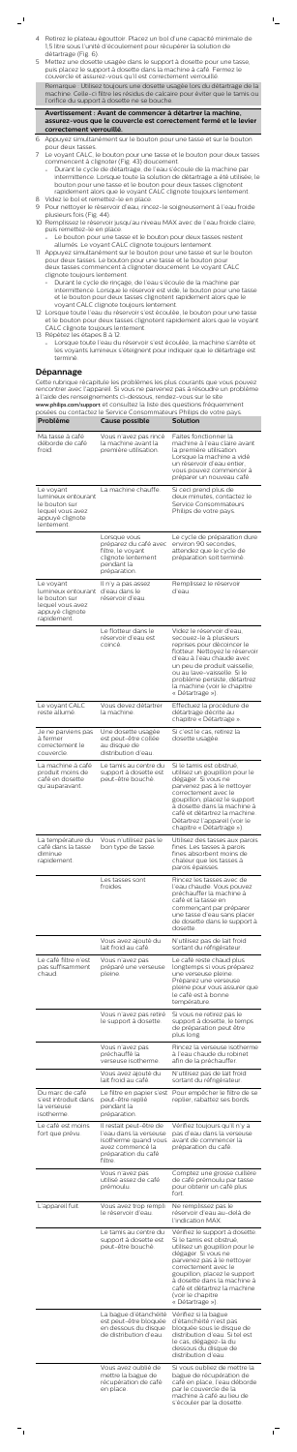4 Retirez le plateau égouttoir. Placez un bol d'une capacité minimale de 1,5 litre sous l'unité d'écoulement pour récupérer la solution de détartrage (Fig. 6).

 $\Gamma_{\rm c}$ 

5 Mettez une dosette usagée dans le support à dosette pour une tasse, puis placez le support à dosette dans la machine à café. Fermez le couvercle et assurez-vous qu'il est correctement verrouillé.

Remarque : Utilisez toujours une dosette usagée lors du détartrage de la machine. Celle-ci filtre les résidus de calcaire pour éviter que le tamis ou l'orifice du support à dosette ne se bouche.

**Avertissement : Avant de commencer à détartrer la machine, assurez-vous que le couvercle est correctement fermé et le levier correctement verrouillé.**

- 6 Appuyez simultanément sur le bouton pour une tasse et sur le bouton pour deux tasses.
- 7 Le voyant CALC, le bouton pour une tasse et le bouton pour deux tasses commencent à clignoter (Fig. 43) doucement.
	- Durant le cycle de détartrage, de l'eau s'écoule de la machine par intermittence. Lorsque toute la solution de détartrage a été utilisée, le bouton pour une tasse et le bouton pour deux tasses clignotent rapidement alors que le voyant CALC clignote toujours lentement.
- 8 Videz le bol et remettez-le en place. 9 Pour nettoyer le réservoir d'eau, rincez-le soigneusement à l'eau froide plusieurs fois (Fig. 44).
- 10 Remplissez le réservoir jusqu'au niveau MAX avec de l'eau froide claire, puis remettez-le en place.
	- Le bouton pour une tasse et le bouton pour deux tasses restent allumés. Le voyant CALC clignote toujours lentement.
- 11 Appuyez simultanément sur le bouton pour une tasse et sur le bouton pour deux tasses. Le bouton pour une tasse et le bouton pour deux tasses commencent à clignoter doucement. Le voyant CALC clignote toujours lentement.
	- Durant le cycle de rinçage, de l'eau s'écoule de la machine par intermittence. Lorsque le réservoir est vide, le bouton pour une tasse et le bouton pour deux tasses clignotent rapidement alors que le voyant CALC clignote toujours lentement.
- 12 Lorsque toute l'eau du réservoir s'est écoulée, le bouton pour une tasse et le bouton pour deux tasses clignotent rapidement alors que le voyant CALC clignote toujours lentement.
- 13 Répétez les étapes 8 à 12.
	- Lorsque toute l'eau du réservoir s'est écoulée, la machine s'arrête et les voyants lumineux s'éteignent pour indiquer que le détartrage est terminé.

## **Dépannage**

Cette rubrique récapitule les problèmes les plus courants que vous pouvez rencontrer avec l'appareil. Si vous ne parvenez pas à résoudre un problème à l'aide des renseignements ci-dessous, rendez-vous sur le site [www.philips.com/support](http://www.philips.com/support) et consultez la liste des questions fréquemment

| Problème                                                                                               | Cause possible                                                                                                                  | posées ou contactez le Service Consommateurs Philips de votre pays.<br><b>Solution</b>                                                                                                                                                                                                                           |
|--------------------------------------------------------------------------------------------------------|---------------------------------------------------------------------------------------------------------------------------------|------------------------------------------------------------------------------------------------------------------------------------------------------------------------------------------------------------------------------------------------------------------------------------------------------------------|
| Ma tasse à café                                                                                        | Vous n'avez pas rincé                                                                                                           | Faites fonctionner la                                                                                                                                                                                                                                                                                            |
| déborde de café<br>froid.                                                                              | la machine avant la<br>première utilisation.                                                                                    | machine à l'eau claire avant<br>la première utilisation.<br>Lorsque la machine a vidé<br>un réservoir d'eau entier.<br>vous pouvez commencer à<br>préparer un nouveau café.                                                                                                                                      |
| Le voyant<br>lumineux entourant<br>le bouton sur<br>lequel vous avez<br>appuyé clignote<br>lentement.  | La machine chauffe.                                                                                                             | Si ceci prend plus de<br>deux minutes, contactez le<br>Service Consommateurs<br>Philips de votre pays.                                                                                                                                                                                                           |
|                                                                                                        | Lorsque vous<br>préparez du café avec<br>filtre, le voyant<br>clignote lentement<br>pendant la<br>préparation.                  | Le cycle de préparation dure<br>environ 90 secondes,<br>attendez que le cycle de<br>préparation soit terminé.                                                                                                                                                                                                    |
| Le voyant<br>lumineux entourant<br>le bouton sur<br>lequel vous avez<br>appuyé clignote<br>rapidement. | Il n'y a pas assez<br>d'eau dans le<br>réservoir d'eau.                                                                         | Remplissez le réservoir<br>d'eau.                                                                                                                                                                                                                                                                                |
|                                                                                                        | Le flotteur dans le<br>réservoir d'eau est<br>coincé.                                                                           | Videz le réservoir d'eau,<br>secouez-le à plusieurs<br>reprises pour décoincer le<br>flotteur. Nettoyez le réservoir<br>d'eau à l'eau chaude avec<br>un peu de produit vaisselle,<br>ou au lave-vaisselle. Si le<br>problème persiste, détartrez<br>la machine (voir le chapitre<br>« Détartrage »).             |
| Le voyant CALC<br>reste allumé.                                                                        | Vous devez détartrer<br>la machine.                                                                                             | Effectuez la procédure de<br>détartrage décrite au<br>chapitre « Détartrage ».                                                                                                                                                                                                                                   |
| Je ne parviens pas<br>à fermer<br>correctement le<br>couvercle.                                        | Une dosette usagée<br>est peut-être collée<br>au disque de<br>distribution d'eau.                                               | Si c'est le cas, retirez la<br>dosette usagée.                                                                                                                                                                                                                                                                   |
| La machine à café<br>produit moins de<br>café en dosette<br>qu'auparavant.                             | Le tamis au centre du<br>support à dosette est<br>peut-être bouché.                                                             | Si le tamis est obstrué,<br>utilisez un goupillon pour le<br>dégager. Si vous ne<br>parvenez pas à le nettoyer<br>correctement avec le<br>goupillon, placez le support<br>à dosette dans la machine à<br>café et détartrez la machine.<br>Détartrez l'appareil (voir le<br>chapitre « Détartrage »).             |
| La température du<br>café dans la tasse<br>diminue<br>rapidement.                                      | Vous n'utilisez pas le<br>bon type de tasse.                                                                                    | Utilisez des tasses aux parois<br>fines. Les tasses à parois<br>fines absorbent moins de<br>chaleur que les tasses à<br>parois épaisses.                                                                                                                                                                         |
|                                                                                                        | Les tasses sont<br>froides.                                                                                                     | Rincez les tasses avec de<br>l'eau chaude. Vous pouvez<br>préchauffer la machine à<br>café et la tasse en<br>commençant par préparer<br>une tasse d'eau sans placer<br>de dosette dans le support à<br>dosette.                                                                                                  |
|                                                                                                        | Vous avez ajouté du<br>lait froid au café.                                                                                      | N'utilisez pas de lait froid<br>sortant du réfrigérateur.                                                                                                                                                                                                                                                        |
| Le café filtre n'est<br>pas suffisamment<br>chaud.                                                     | Vous n'avez pas<br>préparé une verseuse<br>pleine.                                                                              | Le café reste chaud plus<br>longtemps si vous préparez<br>une verseuse pleine.<br>Préparez une verseuse<br>pleine pour vous assurer que<br>le café est à bonne<br>température.                                                                                                                                   |
|                                                                                                        | Vous n'avez pas retiré<br>le support à dosette.                                                                                 | Si vous ne retirez pas le<br>support à dosette, le temps<br>de préparation peut être<br>plus long.                                                                                                                                                                                                               |
|                                                                                                        | Vous n'avez pas<br>préchauffé la<br>verseuse isotherme.                                                                         | Rincez la verseuse isotherme<br>à l'eau chaude du robinet<br>afin de la préchauffer.                                                                                                                                                                                                                             |
|                                                                                                        | Vous avez ajouté du<br>lait froid au café.                                                                                      | N'utilisez pas de lait froid<br>sortant du réfrigérateur.                                                                                                                                                                                                                                                        |
| Du marc de café<br>s'est introduit dans<br>la verseuse<br>isotherme.                                   | Le filtre en papier s'est<br>peut-être replié<br>pendant la<br>préparation.                                                     | Pour empêcher le filtre de se<br>replier, rabattez ses bords.                                                                                                                                                                                                                                                    |
| Le café est moins<br>fort que prévu.                                                                   | Il restait peut-être de<br>l'eau dans la verseuse<br>isotherme quand vous<br>avez commencé la<br>préparation du café<br>filtre. | Vérifiez toujours qu'il n'y a<br>pas d'eau dans la verseuse<br>avant de commencer la<br>préparation du café.                                                                                                                                                                                                     |
|                                                                                                        | Vous n'avez pas<br>utilisé assez de café<br>prémoulu.                                                                           | Comptez une grosse cuillère<br>de café prémoulu par tasse<br>pour obtenir un café plus<br>fort.                                                                                                                                                                                                                  |
| L'appareil fuit.                                                                                       | Vous avez trop rempli<br>le réservoir d'eau.                                                                                    | Ne remplissez pas le<br>réservoir d'eau au-delà de<br>l'indication MAX.                                                                                                                                                                                                                                          |
|                                                                                                        | Le tamis au centre du<br>support à dosette est<br>peut-être bouché.                                                             | Vérifiez le support à dosette.<br>Si le tamis est obstrué,<br>utilisez un goupillon pour le<br>dégager. Si vous ne<br>parvenez pas à le nettoyer<br>correctement avec le<br>goupillon, placez le support<br>à dosette dans la machine à<br>café et détartrez la machine<br>(voir le chapitre<br>« Détartrage »). |
|                                                                                                        | La bague d'étanchéité<br>est peut-être bloquée<br>en dessous du disque<br>de distribution d'eau.                                | Vérifiez si la bague<br>d'étanchéité n'est pas<br>bloquée sous le disque de<br>distribution d'eau. Si tel est<br>le cas, dégagez-la du<br>dessous du disaue de<br>distribution d'eau.                                                                                                                            |
|                                                                                                        | Vous avez oublié de<br>mettre la bague de<br>récupération de café<br>en place.                                                  | Si vous oubliez de mettre la<br>bague de récupération de<br>café en place, l'eau déborde<br>par le couvercle de la<br>machine à café au lieu de<br>s'écouler par la dosette.                                                                                                                                     |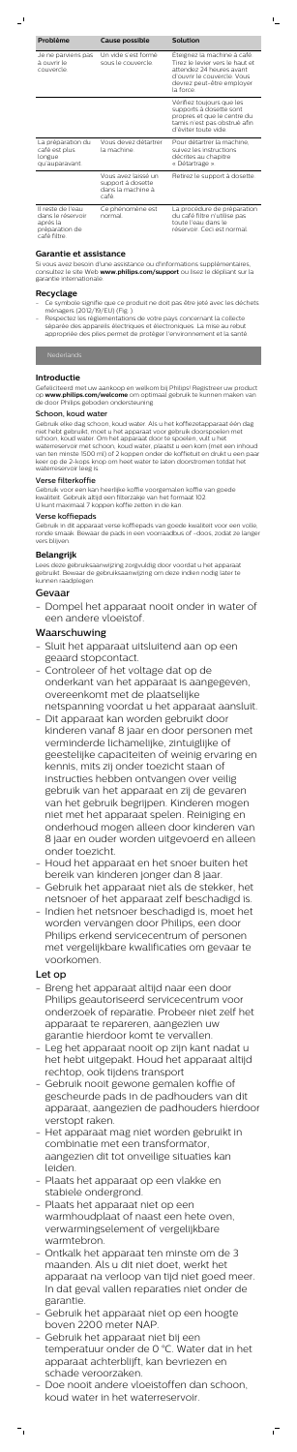| Problème                                                                             | Cause possible                                                         | <b>Solution</b>                                                                                                                                                     |
|--------------------------------------------------------------------------------------|------------------------------------------------------------------------|---------------------------------------------------------------------------------------------------------------------------------------------------------------------|
| Je ne parviens pas<br>à ouvrir le<br>couvercle.                                      | Un vide s'est formé<br>sous le couvercle.                              | Eteignez la machine à café.<br>Tirez le levier vers le haut et<br>attendez 24 heures avant<br>d'ouvrir le couvercle. Vous<br>devrez peut-être employer<br>la force. |
|                                                                                      |                                                                        | Vérifiez toujours que les<br>supports à dosette sont<br>propres et que le centre du<br>tamis n'est pas obstrué afin<br>d'éviter toute vide.                         |
| La préparation du<br>café est plus<br>longue<br>qu'auparavant.                       | Vous devez détartrer<br>la machine.                                    | Pour détartrer la machine,<br>suivez les instructions<br>décrites au chapitre<br>« Détartrage ».                                                                    |
|                                                                                      | Vous avez laissé un<br>support à dosette<br>dans la machine à<br>café. | Retirez le support à dosette.                                                                                                                                       |
| Il reste de l'eau<br>dans le réservoir<br>après la<br>préparation de<br>café filtre. | Ce phénomène est<br>normal                                             | La procédure de préparation<br>du café filtre n'utilise pas<br>toute l'eau dans le<br>réservoir. Ceci est normal.                                                   |

 $\vert$ 

- Ce symbole signifie que ce produit ne doit pas être jeté avec les déchets ménagers (2012/19/EU) (Fig. ).
- Respectez les réglementations de votre pays concernant la collecte séparée des appareils électriques et électroniques. La mise au rebut appropriée des piles permet de protéger l'environnement et la santé.

## **Garantie et assistance**

Si vous avez besoin d'une assistance ou d'informations supplémentaires, consultez le site Web **www.philips.com/support** ou lisez le dépliant sur la garantie internationale.

## **Recyclage**

## **Introductie**

Gefeliciteerd met uw aankoop en welkom bij Philips! Registreer uw product op **www.philips.com/welcome** om optimaal gebruik te kunnen maken van de door Philips geboden ondersteuning.

#### Schoon, koud water

Gebruik elke dag schoon, koud water. Als u het koffiezetapparaat één dag niet hebt gebruikt, moet u het apparaat voor gebruik doorspoelen met schoon, koud water. Om het apparaat door te spoelen, vult u het waterreservoir met schoon, koud water, plaatst u een kom (met een inhoud van ten minste 1500 ml) of 2 koppen onder de koffietuit en drukt u een paar keer op de 2-kops knop om heet water te laten doorstromen totdat het waterreservoir leeg is.

#### Verse filterkoffie

Gebruik voor een kan heerlijke koffie voorgemalen koffie van goede kwaliteit. Gebruik altijd een filterzakje van het formaat 102. U kunt maximaal 7 koppen koffie zetten in de kan.

## Verse koffiepads

Gebruik in dit apparaat verse koffiepads van goede kwaliteit voor een volle, ronde smaak. Bewaar de pads in een voorraadbus of -doos, zodat ze langer vers blijven.

## **Belangrijk**

Lees deze gebruiksaanwijzing zorgvuldig door voordat u het apparaat gebruikt. Bewaar de gebruiksaanwijzing om deze indien nodig later te kunnen raadplegen.

## Gevaar

- Dompel het apparaat nooit onder in water of een andere vloeistof.

## Waarschuwing

- Sluit het apparaat uitsluitend aan op een geaard stopcontact.
- Controleer of het voltage dat op de onderkant van het apparaat is aangegeven, overeenkomt met de plaatselijke
- netspanning voordat u het apparaat aansluit. - Dit apparaat kan worden gebruikt door
- kinderen vanaf 8 jaar en door personen met verminderde lichamelijke, zintuiglijke of

geestelijke capaciteiten of weinig ervaring en kennis, mits zij onder toezicht staan of instructies hebben ontvangen over veilig gebruik van het apparaat en zij de gevaren van het gebruik begrijpen. Kinderen mogen niet met het apparaat spelen. Reiniging en onderhoud mogen alleen door kinderen van 8 jaar en ouder worden uitgevoerd en alleen onder toezicht.

- Houd het apparaat en het snoer buiten het bereik van kinderen jonger dan 8 jaar.
- Gebruik het apparaat niet als de stekker, het netsnoer of het apparaat zelf beschadigd is.
- Indien het netsnoer beschadigd is, moet het worden vervangen door Philips, een door Philips erkend servicecentrum of personen met vergelijkbare kwalificaties om gevaar te voorkomen.

# Let op

- Breng het apparaat altijd naar een door Philips geautoriseerd servicecentrum voor onderzoek of reparatie. Probeer niet zelf het apparaat te repareren, aangezien uw garantie hierdoor komt te vervallen.
- Leg het apparaat nooit op zijn kant nadat u het hebt uitgepakt. Houd het apparaat altijd rechtop, ook tijdens transport
- Gebruik nooit gewone gemalen koffie of gescheurde pads in de padhouders van dit apparaat, aangezien de padhouders hierdoor verstopt raken.
- Het apparaat mag niet worden gebruikt in combinatie met een transformator, aangezien dit tot onveilige situaties kan leiden.
- Plaats het apparaat op een vlakke en stabiele ondergrond.
- Plaats het apparaat niet op een warmhoudplaat of naast een hete oven, verwarmingselement of vergelijkbare warmtebron.
- Ontkalk het apparaat ten minste om de 3 maanden. Als u dit niet doet, werkt het apparaat na verloop van tijd niet goed meer. In dat geval vallen reparaties niet onder de garantie.
- Gebruik het apparaat niet op een hoogte boven 2200 meter NAP.
- Gebruik het apparaat niet bij een temperatuur onder de 0 °C. Water dat in het apparaat achterblijft, kan bevriezen en schade veroorzaken.
- Doe nooit andere vloeistoffen dan schoon, koud water in het waterreservoir.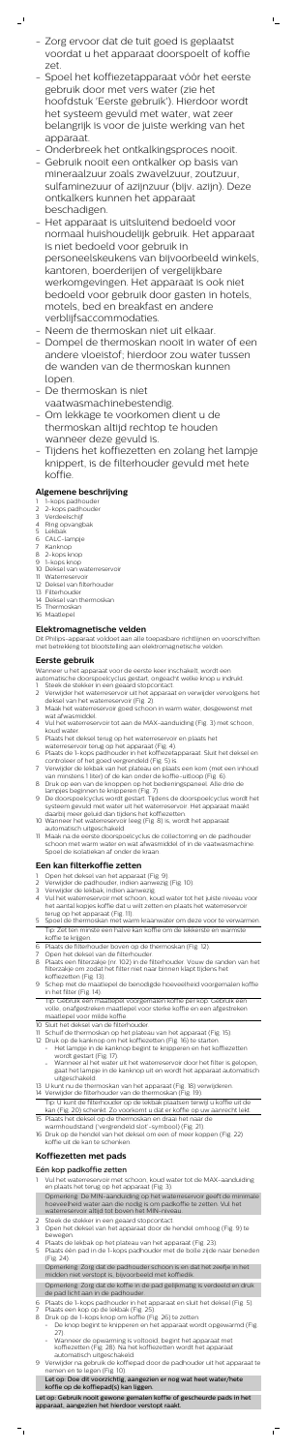- Zorg ervoor dat de tuit goed is geplaatst voordat u het apparaat doorspoelt of koffie zet.

 $\mathbb{L}_+$ 

 $\mathbf{I}$ 

- Spoel het koffiezetapparaat vóór het eerste gebruik door met vers water (zie het hoofdstuk 'Eerste gebruik'). Hierdoor wordt het systeem gevuld met water, wat zeer belangrijk is voor de juiste werking van het apparaat.
- Onderbreek het ontkalkingsproces nooit.
- Gebruik nooit een ontkalker op basis van mineraalzuur zoals zwavelzuur, zoutzuur, sulfaminezuur of azijnzuur (bijv. azijn). Deze ontkalkers kunnen het apparaat beschadigen.
- Het apparaat is uitsluitend bedoeld voor normaal huishoudelijk gebruik. Het apparaat is niet bedoeld voor gebruik in personeelskeukens van bijvoorbeeld winkels, kantoren, boerderijen of vergelijkbare werkomgevingen. Het apparaat is ook niet bedoeld voor gebruik door gasten in hotels, motels, bed en breakfast en andere verblijfsaccommodaties.
- Neem de thermoskan niet uit elkaar.
- Dompel de thermoskan nooit in water of een andere vloeistof; hierdoor zou water tussen de wanden van de thermoskan kunnen lopen.
- De thermoskan is niet vaatwasmachinebestendig.
- Om lekkage te voorkomen dient u de thermoskan altijd rechtop te houden wanneer deze gevuld is.
- Tijdens het koffiezetten en zolang het lampje knippert, is de filterhouder gevuld met hete koffie.

- 1-kops padhouder
- 2 2-kops padhouder
- 3 Verdeelschijf
- 4 Ring opvangbak
- 5 Lekbak
- 6 CALC-lampje
- 7 Kanknop 8 2-kops knop
- 9 1-kops knop
- 10 Deksel van waterreservoir
- 11 Waterreservoir
- 12 Deksel van filterhouder
- 13 Filterhouder 14 Deksel van thermoskan
- 15 Thermoskan
- 16 Maatlepel

# **Algemene beschrijving**

# **Elektromagnetische velden**

Dit Philips-apparaat voldoet aan alle toepasbare richtlijnen en voorschriften met betrekking tot blootstelling aan elektromagnetische velden.

## **Eerste gebruik**

Wanneer u het apparaat voor de eerste keer inschakelt, wordt een

- automatische doorspoelcyclus gestart, ongeacht welke knop u indrukt.
- 1 Steek de stekker in een geaard stopcontact.
- 2 Verwijder het waterreservoir uit het apparaat en verwijder vervolgens het deksel van het waterreservoir (Fig. 2).
- 3 Maak het waterreservoir goed schoon in warm water, desgewenst met wat afwasmiddel.
- 4 Vul het waterreservoir tot aan de MAX-aanduiding (Fig. 3) met schoon, koud water.
- 5 Plaats het deksel terug op het waterreservoir en plaats het waterreservoir terug op het apparaat (Fig. 4).
	-
- 6 Plaats de 1-kops padhouder in het koffiezetapparaat. Sluit het deksel en controleer of het goed vergrendeld (Fig. 5) is.
- 7 Verwijder de lekbak van het plateau en plaats een kom (met een inhoud van minstens 1 liter) of de kan onder de koffie-uitloop (Fig. 6).
- 8 Druk op een van de knoppen op het bedieningspaneel. Alle drie de lampjes beginnen te knipperen (Fig. 7).
- 9 De doorspoelcyclus wordt gestart. Tijdens de doorspoelcyclus wordt het systeem gevuld met water uit het waterreservoir. Het apparaat maakt daarbij meer geluid dan tijdens het koffiezetten.
- 10 Wanneer het waterreservoir leeg (Fig. 8) is, wordt het apparaat automatisch uitgeschakeld.
- 11 Maak na de eerste doorspoelcyclus de collectorring en de padhouder schoon met warm water en wat afwasmiddel of in de vaatwasmachine. Spoel de isolatiekan af onder de kraan.

## **Een kan filterkoffie zetten**

- 1 Open het deksel van het apparaat (Fig. 9).
- 2 Verwijder de padhouder, indien aanwezig (Fig. 10).
- 3 Verwijder de lekbak, indien aanwezig.
- 4 Vul het waterreservoir met schoon, koud water tot het juiste niveau voor het aantal kopjes koffie dat u wilt zetten en plaats het waterreservoir terug op het apparaat (Fig. 11).
- 5 Spoel de thermoskan met warm kraanwater om deze voor te verwarmen. Tip: Zet ten minste een halve kan koffie om de lekkerste en warmste koffie te krijgen.
- 6 Plaats de filterhouder boven op de thermoskan (Fig. 12).
- 7 Open het deksel van de filterhouder.
- 8 Plaats een filterzakje (nr. 102) in de filterhouder. Vouw de randen van het filterzakje om zodat het filter niet naar binnen klapt tijdens het koffiezetten (Fig. 13).
- 9 Schep met de maatlepel de benodigde hoeveelheid voorgemalen koffie in het filter (Fig. 14).
	- Tip: Gebruik één maatlepel voorgemalen koffie per kop. Gebruik een volle, onafgestreken maatlepel voor sterke koffie en een afgestreken maatlepel voor milde koffie.
- 10 Sluit het deksel van de filterhouder.
- 11 Schuif de thermoskan op het plateau van het apparaat (Fig. 15).
- 12 Druk op de kanknop om het koffiezetten (Fig. 16) te starten.
	- Het lampje in de kanknop begint te knipperen en het koffiezetten wordt gestart (Fig. 17).
	- Wanneer al het water uit het waterreservoir door het filter is gelopen, gaat het lampje in de kanknop uit en wordt het apparaat automatisch uitgeschakeld.
- 13 U kunt nu de thermoskan van het apparaat (Fig. 18) verwijderen.
- 14 Verwijder de filterhouder van de thermoskan (Fig. 19). Tip: U kunt de filterhouder op de lekbak plaatsen terwijl u koffie uit de kan (Fig. 20) schenkt. Zo voorkomt u dat er koffie op uw aanrecht lekt.
- 15 Plaats het deksel op de thermoskan en draai het naar de warmhoudstand ('vergrendeld slot'-symbool) (Fig. 21).
- 16 Druk op de hendel van het deksel om een of meer koppen (Fig. 22) koffie uit de kan te schenken.

## **Koffiezetten met pads**

## Eén kop padkoffie zetten

- 1 Vul het waterreservoir met schoon, koud water tot de MAX-aanduiding en plaats het terug op het apparaat (Fig. 3). Opmerking: De MIN-aanduiding op het waterreservoir geeft de minimale
	- hoeveelheid water aan die nodig is om padkoffie te zetten. Vul het waterreservoir altijd tot boven het MIN-niveau.
- 2 Steek de stekker in een geaard stopcontact.
- 3 Open het deksel van het apparaat door de hendel omhoog (Fig. 9) te bewegen.
- 4 Plaats de lekbak op het plateau van het apparaat (Fig. 23).
- 5 Plaats één pad in de 1-kops padhouder met de bolle zijde naar beneden (Fig. 24).

Opmerking: Zorg dat de padhouder schoon is en dat het zeefje in het midden niet verstopt is, bijvoorbeeld met koffiedik.

Opmerking: Zorg dat de koffie in de pad gelijkmatig is verdeeld en druk de pad licht aan in de padhouder.

- 6 Plaats de 1-kops padhouder in het apparaat en sluit het deksel (Fig. 5). Plaats een kop op de lekbak (Fig. 25).
- 8 Druk op de 1-kops knop om koffie (Fig. 26) te zetten.
	- De knop begint te knipperen en het apparaat wordt opgewarmd (Fig. 27).
	- Wanneer de opwarming is voltooid, begint het apparaat met koffiezetten (Fig. 28). Na het koffiezetten wordt het apparaat automatisch uitgeschakeld.
- 9 Verwijder na gebruik de koffiepad door de padhouder uit het apparaat te nemen en te legen (Fig. 10).

#### Let op: Doe dit voorzichtig, aangezien er nog wat heet water/hete koffie op de koffiepad(s) kan liggen.

Let op: Gebruik nooit gewone gemalen koffie of gescheurde pads in het apparaat, aangezien het hierdoor verstopt raakt.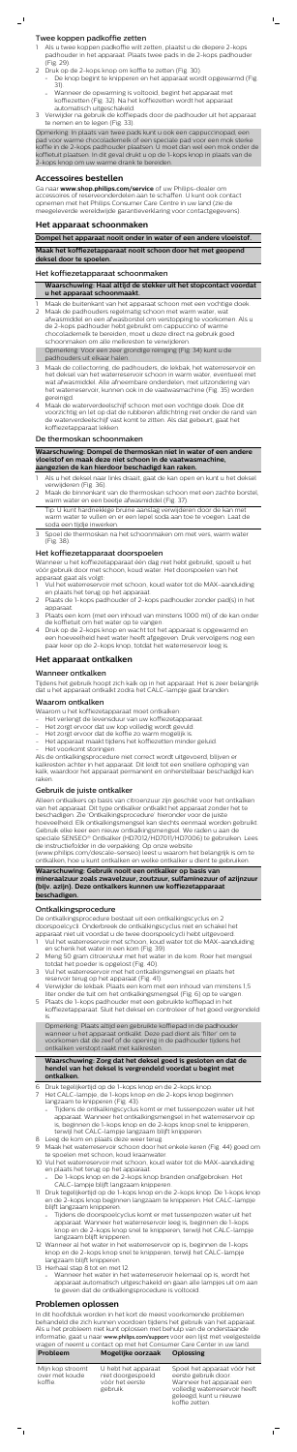## Twee koppen padkoffie zetten

- Als u twee koppen padkoffie wilt zetten, plaatst u de diepere 2-kops padhouder in het apparaat. Plaats twee pads in de 2-kops padhouder (Fig. 29).
- 2 Druk op de 2-kops knop om koffie te zetten (Fig. 30).
	- De knop begint te knipperen en het apparaat wordt opgewarmd (Fig. 31).

 $\mathbb{L}$ 

- Wanneer de opwarming is voltooid, begint het apparaat met koffiezetten (Fig. 32). Na het koffiezetten wordt het apparaat automatisch uitgeschakeld.
- 3 Verwijder na gebruik de koffiepads door de padhouder uit het apparaat te nemen en te legen (Fig. 33).

Opmerking: In plaats van twee pads kunt u ook een cappuccinopad, een pad voor warme chocolademelk of een speciale pad voor een mok sterke koffie in de 2-kops padhouder plaatsen. U moet dan wel een mok onder de koffietuit plaatsen. In dit geval drukt u op de 1-kops knop in plaats van de 2-kops knop om uw warme drank te bereiden.

## **Accessoires bestellen**

Ga naar **www.shop.philips.com/service** of uw Philips-dealer om accessoires of reserveonderdelen aan te schaffen. U kunt ook contact opnemen met het Philips Consumer Care Centre in uw land (zie de meegeleverde wereldwijde garantieverklaring voor contactgegevens).

## **Het apparaat schoonmaken**

- Maak de buitenkant van het apparaat schoon met een vochtige doek. 2 Maak de padhouders regelmatig schoon met warm water, wat afwasmiddel en een afwasborstel om verstopping te voorkomen. Als u de 2-kops padhouder hebt gebruikt om cappuccino of warme chocolademelk te bereiden, moet u deze direct na gebruik goed schoonmaken om alle melkresten te verwijderen. Opmerking: Voor een zeer grondige reiniging (Fig. 34) kunt u de padhouders uit elkaar halen.
- 3 Maak de collectorring, de padhouders, de lekbak, het waterreservoir en het deksel van het waterreservoir schoon in warm water, eventueel met wat afwasmiddel. Alle afneembare onderdelen, met uitzondering van het waterreservoir, kunnen ook in de vaatwasmachine (Fig. 35) worden gereinigd.
- 4 Maak de waterverdeelschijf schoon met een vochtige doek. Doe dit voorzichtig en let op dat de rubberen afdichtring niet onder de rand van de waterverdeelschijf vast komt te zitten. Als dat gebeurt, gaat het koffiezetapparaat lekken.

## **Dompel het apparaat nooit onder in water of een andere vloeistof.**

**Maak het koffiezetapparaat nooit schoon door het met geopend deksel door te spoelen.**

#### Het koffiezetapparaat schoonmaken

**Waarschuwing: Haal altijd de stekker uit het stopcontact voordat u het apparaat schoonmaakt.**

- Vul het waterreservoir met schoon, koud water tot de MAX-aanduiding en plaats het terug op het apparaat.
- 2 Plaats de 1-kops padhouder of 2-kops padhouder zonder pad(s) in het apparaat.
- 3 Plaats een kom (met een inhoud van minstens 1000 ml) of de kan onder de koffietuit om het water op te vangen.
- 4 Druk op de 2-kops knop en wacht tot het apparaat is opgewarmd en een hoeveelheid heet water heeft afgegeven. Druk vervolgens nog een paar keer op de 2-kops knop, totdat het waterreservoir leeg is.

#### De thermoskan schoonmaken

**Waarschuwing: Dompel de thermoskan niet in water of een andere vloeistof en maak deze niet schoon in de vaatwasmachine, aangezien de kan hierdoor beschadigd kan raken.**

- 1 Als u het deksel naar links draait, gaat de kan open en kunt u het deksel verwijderen (Fig. 36).
- 2 Maak de binnenkant van de thermoskan schoon met een zachte borstel, warm water en een beetje afwasmiddel (Fig. 37).
- Tip: U kunt hardnekkige bruine aanslag verwijderen door de kan met warm water te vullen en er een lepel soda aan toe te voegen. Laat de soda een tijdje inwerken.
- 3 Spoel de thermoskan na het schoonmaken om met vers, warm water (Fig. 38).

## Het koffiezetapparaat doorspoelen

Wanneer u het koffiezetapparaat één dag niet hebt gebruikt, spoelt u het vóór gebruik door met schoon, koud water. Het doorspoelen van het apparaat gaat als volgt:

## **Het apparaat ontkalken**

#### Wanneer ontkalken

Tijdens het gebruik hoopt zich kalk op in het apparaat. Het is zeer belangrijk dat u het apparaat ontkalkt zodra het CALC-lampje gaat branden.

#### Waarom ontkalken

Waarom u het koffiezetapparaat moet ontkalken:

- Het verlengt de levensduur van uw koffiezetapparaat.
- Het zorgt ervoor dat uw kop volledig wordt gevuld.
- Het zorgt ervoor dat de koffie zo warm mogelijk is.
- Het apparaat maakt tijdens het koffiezetten minder geluid.
- Het voorkomt storingen.

Als de ontkalkingsprocedure niet correct wordt uitgevoerd, blijven er kalkresten achter in het apparaat. Dit leidt tot een snellere ophoping van kalk, waardoor het apparaat permanent en onherstelbaar beschadigd kan raken.

## Gebruik de juiste ontkalker

Alleen ontkalkers op basis van citroenzuur zijn geschikt voor het ontkalken van het apparaat. Dit type ontkalker ontkalkt het apparaat zonder het te beschadigen. Zie 'Ontkalkingsprocedure' hieronder voor de juiste hoeveelheid. Elk ontkalkingsmengsel kan slechts eenmaal worden gebruikt. Gebruik elke keer een nieuw ontkalkingsmengsel. We raden u aan de speciale SENSEO® Ontkalker (HD7012/HD7011/HD7006) te gebruiken. Lees de instructiefolder in de verpakking. Op onze website

(www.philips.com/descale-senseo) leest u waarom het belangrijk is om te ontkalken, hoe u kunt ontkalken en welke ontkalker u dient te gebruiken.

**Waarschuwing: Gebruik nooit een ontkalker op basis van mineraalzuur zoals zwavelzuur, zoutzuur, sulfaminezuur of azijnzuur (bijv. azijn). Deze ontkalkers kunnen uw koffiezetapparaat beschadigen.**

## Ontkalkingsprocedure

De ontkalkingsprocedure bestaat uit een ontkalkingscyclus en 2 doorspoelcycli. Onderbreek de ontkalkingscyclus niet en schakel het apparaat niet uit voordat u de twee doorspoelcycli hebt uitgevoerd.

- 1 Vul het waterreservoir met schoon, koud water tot de MAX-aanduiding en schenk het water in een kom (Fig. 39).
- 2 Meng 50 gram citroenzuur met het water in de kom. Roer het mengsel totdat het poeder is opgelost (Fig. 40).
- 3 Vul het waterreservoir met het ontkalkingsmengsel en plaats het reservoir terug op het apparaat (Fig. 41).
- 4 Verwijder de lekbak. Plaats een kom met een inhoud van minstens 1,5 liter onder de tuit om het ontkalkingsmengsel (Fig. 6) op te vangen.
- 5 Plaats de 1-kops padhouder met een gebruikte koffiepad in het koffiezetapparaat. Sluit het deksel en controleer of het goed vergrendeld is.

Opmerking: Plaats altijd een gebruikte koffiepad in de padhouder wanneer u het apparaat ontkalkt. Deze pad dient als 'filter' om te voorkomen dat de zeef of de opening in de padhouder tijdens het ontkalken verstopt raakt met kalkresten.

#### **Waarschuwing: Zorg dat het deksel goed is gesloten en dat de hendel van het deksel is vergrendeld voordat u begint met ontkalken.**

- 6 Druk tegelijkertijd op de 1-kops knop en de 2-kops knop.
	- 7 Het CALC-lampje, de 1-kops knop en de 2-kops knop beginnen langzaam te knipperen (Fig. 43).
		- Tijdens de ontkalkingscyclus komt er met tussenpozen water uit het apparaat. Wanneer het ontkalkingsmengsel in het waterreservoir op is, beginnen de 1-kops knop en de 2-kops knop snel te knipperen, terwijl het CALC-lampje langzaam blijft knipperen.
- 8 Leeg de kom en plaats deze weer terug.
- 9 Maak het waterreservoir schoon door het enkele keren (Fig. 44) goed om te spoelen met schoon, koud kraanwater.
- 10 Vul het waterreservoir met schoon, koud water tot de MAX-aanduiding en plaats het terug op het apparaat.
	- De 1-kops knop en de 2-kops knop branden onafgebroken. Het CALC-lampje blijft langzaam knipperen.
- 11 Druk tegelijkertijd op de 1-kops knop en de 2-kops knop. De 1-kops knop en de 2-kops knop beginnen langzaam te knipperen. Het CALC-lampje blijft langzaam knipperen.
	- Tijdens de doorspoelcyclus komt er met tussenpozen water uit het apparaat. Wanneer het waterreservoir leeg is, beginnen de 1-kops knop en de 2-kops knop snel te knipperen, terwijl het CALC-lampje langzaam blijft knipperen.
- 12 Wanneer al het water in het waterreservoir op is, beginnen de 1-kops knop en de 2-kops knop snel te knipperen, terwijl het CALC-lampje langzaam blijft knipperen.
- 13 Herhaal stap 8 tot en met 12.
	- Wanneer het water in het waterreservoir helemaal op is, wordt het apparaat automatisch uitgeschakeld en gaan alle lampjes uit om aan te geven dat de ontkalkingsprocedure is voltooid.

## **Problemen oplossen**

In dit hoofdstuk worden in het kort de meest voorkomende problemen behandeld die zich kunnen voordoen tijdens het gebruik van het apparaat. Als u het probleem niet kunt oplossen met behulp van de onderstaande informatie, gaat u naar [www.philips.com/support](http://www.philips.com/support) voor een lijst met veelgestelde vragen of neemt u contact op met het Consumer Care Center in uw land. **Probleem Mogelijke oorzaak Oplossing**

| Mijn kop stroomt<br>over met koude<br>koffie. | U hebt het apparaat<br>niet doorgespoeld<br>vóór het eerste<br>gebruik. | Spoel het apparaat vóór het<br>eerste gebruik door.<br>Wanneer het apparaat een<br>volledig waterreservoir heeft<br>geleegd, kunt u nieuwe |
|-----------------------------------------------|-------------------------------------------------------------------------|--------------------------------------------------------------------------------------------------------------------------------------------|

koffie zetten.